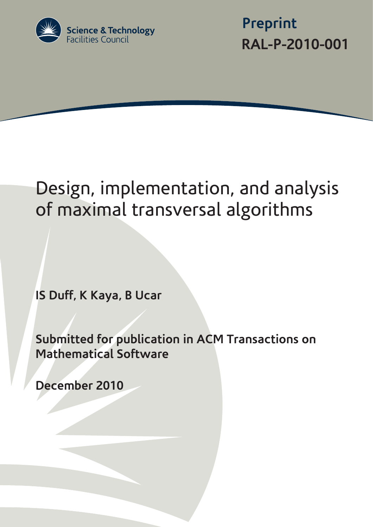

 **Preprint RAL-P-2010-001**

# Design, implementation, and analysis of maximal transversal algorithms

**IS Duff, K Kaya, B Ucar**

**Submitted for publication in ACM Transactions on Mathematical Software** 

**December 2010**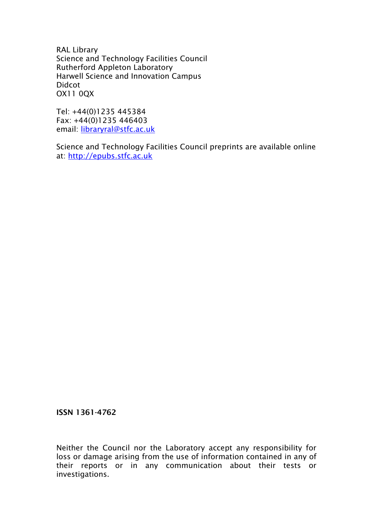RAL Library Science and Technology Facilities Council Rutherford Appleton Laboratory Harwell Science and Innovation Campus Didcot OX11 0QX

Tel: +44(0)1235 445384 Fax: +44(0)1235 446403 email: [libraryral@stfc.ac.uk](mailto:libraryral@stfc.ac.uk)

Science and Technology Facilities Council preprints are available online at: [http://epubs.stfc.ac.uk](http://epubs.stfc.ac.uk/)

ISSN 1361-4762

Neither the Council nor the Laboratory accept any responsibility for loss or damage arising from the use of information contained in any of their reports or in any communication about their tests or investigations.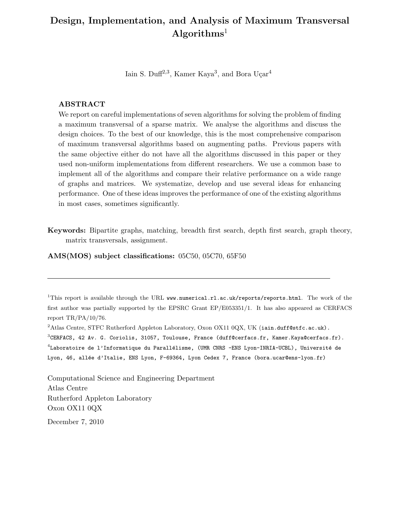## Design, Implementation, and Analysis of Maximum Transversal Algorithms<sup>1</sup>

Iain S. Duff<sup>2,3</sup>, Kamer Kaya<sup>3</sup>, and Bora Uçar<sup>4</sup>

## ABSTRACT

We report on careful implementations of seven algorithms for solving the problem of finding a maximum transversal of a sparse matrix. We analyse the algorithms and discuss the design choices. To the best of our knowledge, this is the most comprehensive comparison of maximum transversal algorithms based on augmenting paths. Previous papers with the same objective either do not have all the algorithms discussed in this paper or they used non-uniform implementations from different researchers. We use a common base to implement all of the algorithms and compare their relative performance on a wide range of graphs and matrices. We systematize, develop and use several ideas for enhancing performance. One of these ideas improves the performance of one of the existing algorithms in most cases, sometimes significantly.

Keywords: Bipartite graphs, matching, breadth first search, depth first search, graph theory, matrix transversals, assignment.

AMS(MOS) subject classifications: 05C50, 05C70, 65F50

Computational Science and Engineering Department Atlas Centre Rutherford Appleton Laboratory Oxon OX11 0QX

December 7, 2010

<sup>&</sup>lt;sup>1</sup>This report is available through the URL www.numerical.rl.ac.uk/reports/reports.html. The work of the first author was partially supported by the EPSRC Grant EP/E053351/1. It has also appeared as CERFACS report TR/PA/10/76.

<sup>&</sup>lt;sup>2</sup>Atlas Centre, STFC Rutherford Appleton Laboratory, Oxon OX11 0QX, UK (iain.duff@stfc.ac.uk).

 $^3$ CERFACS, 42 Av. G. Coriolis, 31057, Toulouse, France (duff@cerfacs.fr, Kamer.Kaya@cerfacs.fr).  $^4$ Laboratoire de l'Informatique du Parallélisme, (UMR CNRS -ENS Lyon-INRIA-UCBL), Université de

Lyon, 46, allée d'Italie, ENS Lyon, F-69364, Lyon Cedex 7, France (bora.ucar@ens-lyon.fr)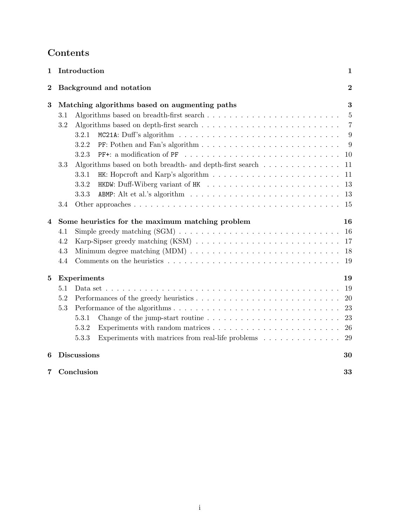# Contents

| 1              |                                                    | Introduction<br>1                                                                                    |                |  |  |  |  |  |  |  |  |  |
|----------------|----------------------------------------------------|------------------------------------------------------------------------------------------------------|----------------|--|--|--|--|--|--|--|--|--|
| $\overline{2}$ |                                                    | Background and notation                                                                              | $\overline{2}$ |  |  |  |  |  |  |  |  |  |
| 3              | 3<br>Matching algorithms based on augmenting paths |                                                                                                      |                |  |  |  |  |  |  |  |  |  |
|                | 3.1                                                |                                                                                                      | $\overline{5}$ |  |  |  |  |  |  |  |  |  |
|                | 3.2                                                |                                                                                                      | $\overline{7}$ |  |  |  |  |  |  |  |  |  |
|                |                                                    | 3.2.1                                                                                                | 9              |  |  |  |  |  |  |  |  |  |
|                |                                                    | 3.2.2                                                                                                | 9              |  |  |  |  |  |  |  |  |  |
|                |                                                    | 3.2.3                                                                                                | 10             |  |  |  |  |  |  |  |  |  |
|                | 3.3                                                | Algorithms based on both breadth- and depth-first search                                             | 11             |  |  |  |  |  |  |  |  |  |
|                |                                                    | HK: Hopcroft and Karp's algorithm $\ldots \ldots \ldots \ldots \ldots \ldots \ldots \ldots$<br>3.3.1 | 11             |  |  |  |  |  |  |  |  |  |
|                |                                                    | 3.3.2                                                                                                | 13             |  |  |  |  |  |  |  |  |  |
|                |                                                    | 3.3.3                                                                                                | 13             |  |  |  |  |  |  |  |  |  |
|                | 3.4                                                |                                                                                                      | 15             |  |  |  |  |  |  |  |  |  |
| 4              |                                                    | Some heuristics for the maximum matching problem<br>16                                               |                |  |  |  |  |  |  |  |  |  |
|                | 4.1                                                |                                                                                                      | 16             |  |  |  |  |  |  |  |  |  |
|                | 4.2                                                |                                                                                                      | 17             |  |  |  |  |  |  |  |  |  |
|                | 4.3                                                |                                                                                                      | 18             |  |  |  |  |  |  |  |  |  |
|                | 4.4                                                |                                                                                                      | 19             |  |  |  |  |  |  |  |  |  |
| 5              |                                                    | <b>Experiments</b>                                                                                   | 19             |  |  |  |  |  |  |  |  |  |
|                | 5.1                                                |                                                                                                      | 19             |  |  |  |  |  |  |  |  |  |
|                | 5.2                                                |                                                                                                      | <b>20</b>      |  |  |  |  |  |  |  |  |  |
|                | 5.3                                                |                                                                                                      | 23             |  |  |  |  |  |  |  |  |  |
|                |                                                    | 5.3.1                                                                                                | 23             |  |  |  |  |  |  |  |  |  |
|                |                                                    | Experiments with random matrices $\ldots \ldots \ldots \ldots \ldots \ldots \ldots \ldots$<br>5.3.2  | 26             |  |  |  |  |  |  |  |  |  |
|                |                                                    | 5.3.3<br>Experiments with matrices from real-life problems                                           | 29             |  |  |  |  |  |  |  |  |  |
| 6              |                                                    | <b>Discussions</b>                                                                                   | 30             |  |  |  |  |  |  |  |  |  |
| 7              |                                                    | Conclusion                                                                                           | 33             |  |  |  |  |  |  |  |  |  |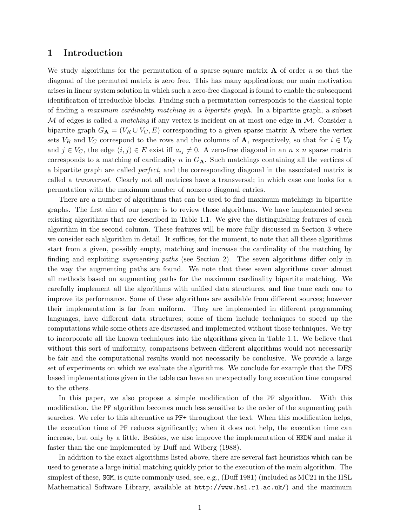## 1 Introduction

We study algorithms for the permutation of a sparse square matrix  $\bf{A}$  of order n so that the diagonal of the permuted matrix is zero free. This has many applications; our main motivation arises in linear system solution in which such a zero-free diagonal is found to enable the subsequent identification of irreducible blocks. Finding such a permutation corresponds to the classical topic of finding a maximum cardinality matching in a bipartite graph. In a bipartite graph, a subset  $M$  of edges is called a *matching* if any vertex is incident on at most one edge in  $M$ . Consider a bipartite graph  $G_{\mathbf{A}} = (V_R \cup V_C, E)$  corresponding to a given sparse matrix **A** where the vertex sets  $V_R$  and  $V_C$  correspond to the rows and the columns of **A**, respectively, so that for  $i \in V_R$ and  $j \in V_C$ , the edge  $(i, j) \in E$  exist iff  $a_{ij} \neq 0$ . A zero-free diagonal in an  $n \times n$  sparse matrix corresponds to a matching of cardinality n in  $G_{\mathbf{A}}$ . Such matchings containing all the vertices of a bipartite graph are called perfect, and the corresponding diagonal in the associated matrix is called a transversal. Clearly not all matrices have a transversal; in which case one looks for a permutation with the maximum number of nonzero diagonal entries.

There are a number of algorithms that can be used to find maximum matchings in bipartite graphs. The first aim of our paper is to review those algorithms. We have implemented seven existing algorithms that are described in Table 1.1. We give the distinguishing features of each algorithm in the second column. These features will be more fully discussed in Section 3 where we consider each algorithm in detail. It suffices, for the moment, to note that all these algorithms start from a given, possibly empty, matching and increase the cardinality of the matching by finding and exploiting *augmenting paths* (see Section 2). The seven algorithms differ only in the way the augmenting paths are found. We note that these seven algorithms cover almost all methods based on augmenting paths for the maximum cardinality bipartite matching. We carefully implement all the algorithms with unified data structures, and fine tune each one to improve its performance. Some of these algorithms are available from different sources; however their implementation is far from uniform. They are implemented in different programming languages, have different data structures; some of them include techniques to speed up the computations while some others are discussed and implemented without those techniques. We try to incorporate all the known techniques into the algorithms given in Table 1.1. We believe that without this sort of uniformity, comparisons between different algorithms would not necessarily be fair and the computational results would not necessarily be conclusive. We provide a large set of experiments on which we evaluate the algorithms. We conclude for example that the DFS based implementations given in the table can have an unexpectedly long execution time compared to the others.

In this paper, we also propose a simple modification of the PF algorithm. With this modification, the PF algorithm becomes much less sensitive to the order of the augmenting path searches. We refer to this alternative as PF+ throughout the text. When this modification helps, the execution time of PF reduces significantly; when it does not help, the execution time can increase, but only by a little. Besides, we also improve the implementation of HKDW and make it faster than the one implemented by Duff and Wiberg (1988).

In addition to the exact algorithms listed above, there are several fast heuristics which can be used to generate a large initial matching quickly prior to the execution of the main algorithm. The simplest of these, SGM, is quite commonly used, see, e.g., (Duff 1981) (included as MC21 in the HSL Mathematical Software Library, available at http://www.hsl.rl.ac.uk/) and the maximum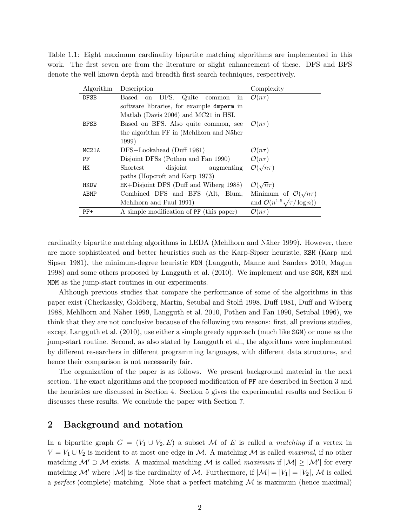Table 1.1: Eight maximum cardinality bipartite matching algorithms are implemented in this work. The first seven are from the literature or slight enhancement of these. DFS and BFS denote the well known depth and breadth first search techniques, respectively.

| Algorithm   | Description                                  | Complexity                                    |
|-------------|----------------------------------------------|-----------------------------------------------|
| <b>DFSB</b> | DFS.<br>Based<br>Quite<br>on<br>common<br>ın | $\mathcal{O}(n\tau)$                          |
|             | software libraries, for example dmperm in    |                                               |
|             | Matlab (Davis 2006) and MC21 in HSL          |                                               |
| <b>BFSB</b> | Based on BFS. Also quite common, see         | $\mathcal{O}(n\tau)$                          |
|             | the algorithm FF in (Mehlhorn and Näher      |                                               |
|             | 1999)                                        |                                               |
| MC21A       | DFS+Lookahead (Duff 1981)                    | $\mathcal{O}(n\tau)$                          |
| PF          | Disjoint DFSs (Pothen and Fan 1990)          | $\mathcal{O}(n\tau)$                          |
| HK          | disjoint<br>Shortest<br>augmenting           | $\mathcal{O}(\sqrt{n}\tau)$                   |
|             | paths (Hopcroft and Karp 1973)               |                                               |
| <b>HKDW</b> | $HK+Disjoint$ DFS (Duff and Wiberg 1988)     | $\mathcal{O}(\sqrt{n}\tau)$                   |
| ABMP        | Combined DFS and BFS (Alt, Blum,             | Minimum of $\mathcal{O}(\sqrt{n}\tau)$        |
|             | Mehlhorn and Paul 1991)                      | and $\mathcal{O}(n^{1.5}\sqrt{\tau/\log n)})$ |
| $PF+$       | A simple modification of PF (this paper)     | $\mathcal{O}(n\tau)$                          |

cardinality bipartite matching algorithms in LEDA (Mehlhorn and Näher 1999). However, there are more sophisticated and better heuristics such as the Karp-Sipser heuristic, KSM (Karp and Sipser 1981), the minimum-degree heuristic MDM (Langguth, Manne and Sanders 2010, Magun 1998) and some others proposed by Langguth et al. (2010). We implement and use SGM, KSM and MDM as the jump-start routines in our experiments.

Although previous studies that compare the performance of some of the algorithms in this paper exist (Cherkassky, Goldberg, Martin, Setubal and Stolfi 1998, Duff 1981, Duff and Wiberg 1988, Mehlhorn and N¨aher 1999, Langguth et al. 2010, Pothen and Fan 1990, Setubal 1996), we think that they are not conclusive because of the following two reasons: first, all previous studies, except Langguth et al. (2010), use either a simple greedy approach (much like SGM) or none as the jump-start routine. Second, as also stated by Langguth et al., the algorithms were implemented by different researchers in different programming languages, with different data structures, and hence their comparison is not necessarily fair.

The organization of the paper is as follows. We present background material in the next section. The exact algorithms and the proposed modification of PF are described in Section 3 and the heuristics are discussed in Section 4. Section 5 gives the experimental results and Section 6 discusses these results. We conclude the paper with Section 7.

## 2 Background and notation

In a bipartite graph  $G = (V_1 \cup V_2, E)$  a subset M of E is called a matching if a vertex in  $V = V_1 \cup V_2$  is incident to at most one edge in M. A matching M is called maximal, if no other matching  $\mathcal{M}' \supset \mathcal{M}$  exists. A maximal matching M is called maximum if  $|\mathcal{M}| \geq |\mathcal{M}'|$  for every matching M' where  $|M|$  is the cardinality of M. Furthermore, if  $|M| = |V_1| = |V_2|$ , M is called a perfect (complete) matching. Note that a perfect matching  $\mathcal M$  is maximum (hence maximal)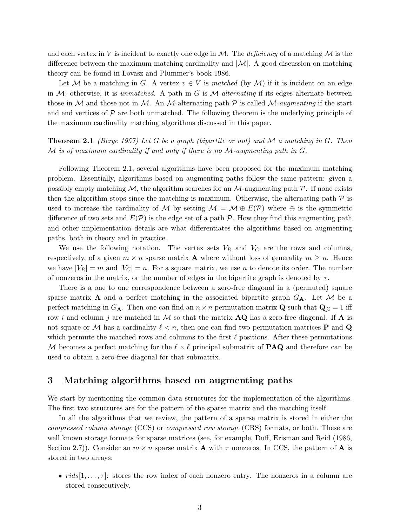and each vertex in V is incident to exactly one edge in  $\mathcal M$ . The *deficiency* of a matching  $\mathcal M$  is the difference between the maximum matching cardinality and  $|\mathcal{M}|$ . A good discussion on matching theory can be found in Lovasz and Plummer's book 1986.

Let M be a matching in G. A vertex  $v \in V$  is matched (by M) if it is incident on an edge in  $M$ ; otherwise, it is unmatched. A path in G is  $M$ -alternating if its edges alternate between those in M and those not in M. An M-alternating path  $\mathcal P$  is called M-*augmenting* if the start and end vertices of  $\mathcal P$  are both unmatched. The following theorem is the underlying principle of the maximum cardinality matching algorithms discussed in this paper.

**Theorem 2.1** (Berge 1957) Let G be a graph (bipartite or not) and M a matching in G. Then  $\mathcal M$  is of maximum cardinality if and only if there is no  $\mathcal M$ -augmenting path in  $G$ .

Following Theorem 2.1, several algorithms have been proposed for the maximum matching problem. Essentially, algorithms based on augmenting paths follow the same pattern: given a possibly empty matching  $M$ , the algorithm searches for an  $M$ -augmenting path  $P$ . If none exists then the algorithm stops since the matching is maximum. Otherwise, the alternating path  $\mathcal P$  is used to increase the cardinality of M by setting  $\mathcal{M} = \mathcal{M} \oplus E(\mathcal{P})$  where  $\oplus$  is the symmetric difference of two sets and  $E(\mathcal{P})$  is the edge set of a path  $\mathcal{P}$ . How they find this augmenting path and other implementation details are what differentiates the algorithms based on augmenting paths, both in theory and in practice.

We use the following notation. The vertex sets  $V_R$  and  $V_C$  are the rows and columns, respectively, of a given  $m \times n$  sparse matrix **A** where without loss of generality  $m \geq n$ . Hence we have  $|V_R| = m$  and  $|V_C| = n$ . For a square matrix, we use n to denote its order. The number of nonzeros in the matrix, or the number of edges in the bipartite graph is denoted by  $\tau$ .

There is a one to one correspondence between a zero-free diagonal in a (permuted) square sparse matrix **A** and a perfect matching in the associated bipartite graph  $G_{\mathbf{A}}$ . Let M be a perfect matching in  $G_{\mathbf{A}}$ . Then one can find an  $n \times n$  permutation matrix **Q** such that  $\mathbf{Q}_{ji} = 1$  iff row i and column j are matched in  $\mathcal M$  so that the matrix  $AQ$  has a zero-free diagonal. If A is not square or M has a cardinality  $\ell < n$ , then one can find two permutation matrices **P** and **Q** which permute the matched rows and columns to the first  $\ell$  positions. After these permutations M becomes a perfect matching for the  $\ell \times \ell$  principal submatrix of **PAQ** and therefore can be used to obtain a zero-free diagonal for that submatrix.

## 3 Matching algorithms based on augmenting paths

We start by mentioning the common data structures for the implementation of the algorithms. The first two structures are for the pattern of the sparse matrix and the matching itself.

In all the algorithms that we review, the pattern of a sparse matrix is stored in either the compressed column storage (CCS) or compressed row storage (CRS) formats, or both. These are well known storage formats for sparse matrices (see, for example, Duff, Erisman and Reid (1986, Section 2.7). Consider an  $m \times n$  sparse matrix **A** with  $\tau$  nonzeros. In CCS, the pattern of **A** is stored in two arrays:

•  $rids[1,\ldots,\tau]$ : stores the row index of each nonzero entry. The nonzeros in a column are stored consecutively.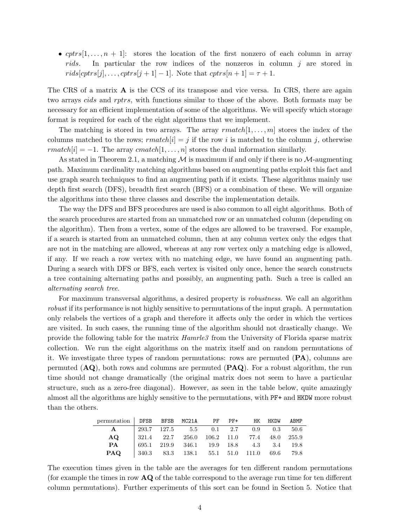• cptrs[1,..., n + 1]: stores the location of the first nonzero of each column in array rids. In particular the row indices of the nonzeros in column j are stored in  $rids[optrs[j], \ldots, optrs[j+1]-1]$ . Note that  $optrs[n+1]=\tau+1$ .

The CRS of a matrix  $\bf{A}$  is the CCS of its transpose and vice versa. In CRS, there are again two arrays *cids* and *rptrs*, with functions similar to those of the above. Both formats may be necessary for an efficient implementation of some of the algorithms. We will specify which storage format is required for each of the eight algorithms that we implement.

The matching is stored in two arrays. The array  $rmatch[1, \ldots, m]$  stores the index of the columns matched to the rows;  $rmatch[i] = j$  if the row i is matched to the column j, otherwise rmatch[i] = -1. The array cmatch[1, ..., n] stores the dual information similarly.

As stated in Theorem 2.1, a matching  $M$  is maximum if and only if there is no M-augmenting path. Maximum cardinality matching algorithms based on augmenting paths exploit this fact and use graph search techniques to find an augmenting path if it exists. These algorithms mainly use depth first search (DFS), breadth first search (BFS) or a combination of these. We will organize the algorithms into these three classes and describe the implementation details.

The way the DFS and BFS procedures are used is also common to all eight algorithms. Both of the search procedures are started from an unmatched row or an unmatched column (depending on the algorithm). Then from a vertex, some of the edges are allowed to be traversed. For example, if a search is started from an unmatched column, then at any column vertex only the edges that are not in the matching are allowed, whereas at any row vertex only a matching edge is allowed, if any. If we reach a row vertex with no matching edge, we have found an augmenting path. During a search with DFS or BFS, each vertex is visited only once, hence the search constructs a tree containing alternating paths and possibly, an augmenting path. Such a tree is called an alternating search tree.

For maximum transversal algorithms, a desired property is *robustness*. We call an algorithm robust if its performance is not highly sensitive to permutations of the input graph. A permutation only relabels the vertices of a graph and therefore it affects only the order in which the vertices are visited. In such cases, the running time of the algorithm should not drastically change. We provide the following table for the matrix *Hamrle3* from the University of Florida sparse matrix collection. We run the eight algorithms on the matrix itself and on random permutations of it. We investigate three types of random permutations: rows are permuted (PA), columns are permuted  $(AQ)$ , both rows and columns are permuted  $(PAQ)$ . For a robust algorithm, the run time should not change dramatically (the original matrix does not seem to have a particular structure, such as a zero-free diagonal). However, as seen in the table below, quite amazingly almost all the algorithms are highly sensitive to the permutations, with PF+ and HKDW more robust than the others.

| permutation DFSB BFSB MC21A PF PF+ HK HKDW ABMP         |  |                                                                                                 |  |  |  |
|---------------------------------------------------------|--|-------------------------------------------------------------------------------------------------|--|--|--|
| $\mathbf{A}$                                            |  | $\vert$ 293.7 127.5 5.5 0.1 2.7 0.9 0.3 50.6                                                    |  |  |  |
| AQ.                                                     |  | $\begin{array}{cccccc} & 321.4 & 22.7 & 256.0 & 106.2 & 11.0 & 77.4 & 48.0 & 255.9 \end{array}$ |  |  |  |
| PA                                                      |  | $\begin{array}{cccccc} \n695.1 & 219.9 & 346.1 & 19.9 & 18.8 & 4.3 & 3.4 & 19.8 \n\end{array}$  |  |  |  |
| <b>PAQ</b>   340.3 83.3 138.1 55.1 51.0 111.0 69.6 79.8 |  |                                                                                                 |  |  |  |

The execution times given in the table are the averages for ten different random permutations (for example the times in row  $\bf{AQ}$  of the table correspond to the average run time for ten different column permutations). Further experiments of this sort can be found in Section 5. Notice that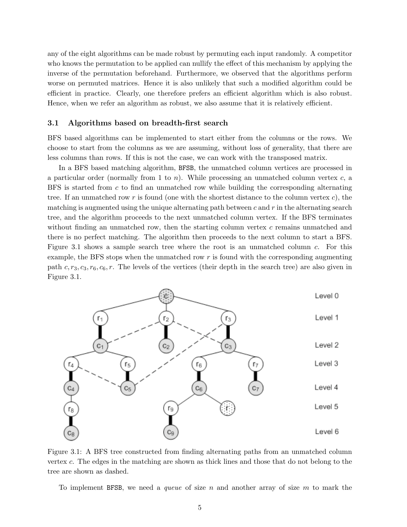any of the eight algorithms can be made robust by permuting each input randomly. A competitor who knows the permutation to be applied can nullify the effect of this mechanism by applying the inverse of the permutation beforehand. Furthermore, we observed that the algorithms perform worse on permuted matrices. Hence it is also unlikely that such a modified algorithm could be efficient in practice. Clearly, one therefore prefers an efficient algorithm which is also robust. Hence, when we refer an algorithm as robust, we also assume that it is relatively efficient.

## 3.1 Algorithms based on breadth-first search

BFS based algorithms can be implemented to start either from the columns or the rows. We choose to start from the columns as we are assuming, without loss of generality, that there are less columns than rows. If this is not the case, we can work with the transposed matrix.

In a BFS based matching algorithm, BFSB, the unmatched column vertices are processed in a particular order (normally from 1 to  $n$ ). While processing an unmatched column vertex  $c$ , a BFS is started from c to find an unmatched row while building the corresponding alternating tree. If an unmatched row r is found (one with the shortest distance to the column vertex  $c$ ), the matching is augmented using the unique alternating path between  $c$  and  $r$  in the alternating search tree, and the algorithm proceeds to the next unmatched column vertex. If the BFS terminates without finding an unmatched row, then the starting column vertex  $c$  remains unmatched and there is no perfect matching. The algorithm then proceeds to the next column to start a BFS. Figure 3.1 shows a sample search tree where the root is an unmatched column c. For this example, the BFS stops when the unmatched row  $r$  is found with the corresponding augmenting path  $c, r_3, c_3, r_6, c_6, r$ . The levels of the vertices (their depth in the search tree) are also given in Figure 3.1.



Figure 3.1: A BFS tree constructed from finding alternating paths from an unmatched column vertex c. The edges in the matching are shown as thick lines and those that do not belong to the tree are shown as dashed.

To implement BFSB, we need a queue of size n and another array of size m to mark the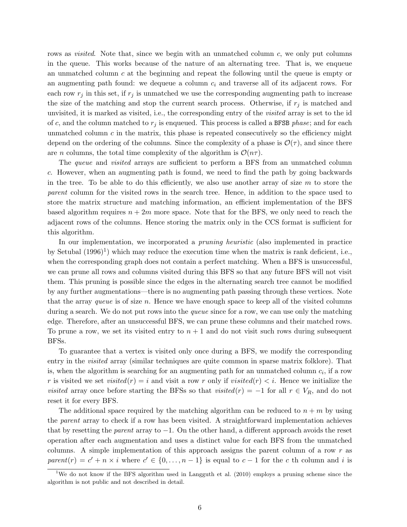rows as *visited*. Note that, since we begin with an unmatched column c, we only put columns in the queue. This works because of the nature of an alternating tree. That is, we enqueue an unmatched column c at the beginning and repeat the following until the queue is empty or an augmenting path found: we dequeue a column  $c_i$  and traverse all of its adjacent rows. For each row  $r_j$  in this set, if  $r_j$  is unmatched we use the corresponding augmenting path to increase the size of the matching and stop the current search process. Otherwise, if  $r_j$  is matched and unvisited, it is marked as visited, i.e., the corresponding entry of the visited array is set to the id of c, and the column matched to  $r_j$  is enqueued. This process is called a BFSB phase; and for each unmatched column  $c$  in the matrix, this phase is repeated consecutively so the efficiency might depend on the ordering of the columns. Since the complexity of a phase is  $\mathcal{O}(\tau)$ , and since there are *n* columns, the total time complexity of the algorithm is  $\mathcal{O}(n\tau)$ .

The queue and visited arrays are sufficient to perform a BFS from an unmatched column c. However, when an augmenting path is found, we need to find the path by going backwards in the tree. To be able to do this efficiently, we also use another array of size  $m$  to store the parent column for the visited rows in the search tree. Hence, in addition to the space used to store the matrix structure and matching information, an efficient implementation of the BFS based algorithm requires  $n + 2m$  more space. Note that for the BFS, we only need to reach the adjacent rows of the columns. Hence storing the matrix only in the CCS format is sufficient for this algorithm.

In our implementation, we incorporated a *pruning heuristic* (also implemented in practice by Setubal  $(1996)^1$ ) which may reduce the execution time when the matrix is rank deficient, i.e., when the corresponding graph does not contain a perfect matching. When a BFS is unsuccessful, we can prune all rows and columns visited during this BFS so that any future BFS will not visit them. This pruning is possible since the edges in the alternating search tree cannot be modified by any further augmentations—there is no augmenting path passing through these vertices. Note that the array queue is of size n. Hence we have enough space to keep all of the visited columns during a search. We do not put rows into the *queue* since for a row, we can use only the matching edge. Therefore, after an unsuccessful BFS, we can prune these columns and their matched rows. To prune a row, we set its visited entry to  $n + 1$  and do not visit such rows during subsequent BFSs.

To guarantee that a vertex is visited only once during a BFS, we modify the corresponding entry in the *visited* array (similar techniques are quite common in sparse matrix folklore). That is, when the algorithm is searching for an augmenting path for an unmatched column  $c_i$ , if a row r is visited we set visited(r) = i and visit a row r only if visited(r) *. Hence we initialize the* visited array once before starting the BFSs so that visited(r) =  $-1$  for all  $r \in V_R$ , and do not reset it for every BFS.

The additional space required by the matching algorithm can be reduced to  $n + m$  by using the *parent* array to check if a row has been visited. A straightforward implementation achieves that by resetting the *parent* array to  $-1$ . On the other hand, a different approach avoids the reset operation after each augmentation and uses a distinct value for each BFS from the unmatched columns. A simple implementation of this approach assigns the parent column of a row  $r$  as parent(r) =  $c' + n \times i$  where  $c' \in \{0, ..., n-1\}$  is equal to  $c - 1$  for the c th column and i is

<sup>&</sup>lt;sup>1</sup>We do not know if the BFS algorithm used in Langguth et al. (2010) employs a pruning scheme since the algorithm is not public and not described in detail.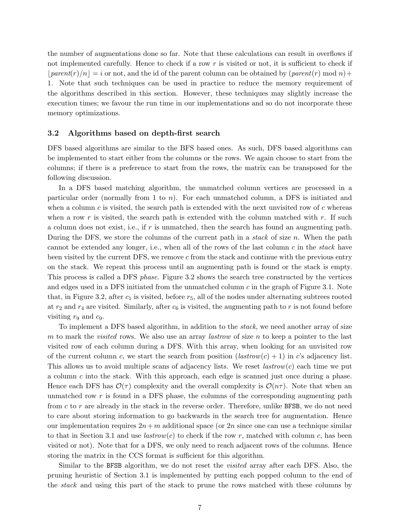the number of augmentations done so far. Note that these calculations can result in overflows if not implemented carefully. Hence to check if a row  $r$  is visited or not, it is sufficient to check if  $|parent(r)/n|=i$  or not, and the id of the parent column can be obtained by  $parent(r) \mod n+1$ 1. Note that such techniques can be used in practice to reduce the memory requirement of the algorithms described in this section. However, these techniques may slightly increase the execution times; we favour the run time in our implementations and so do not incorporate these memory optimizations.

#### 3.2 Algorithms based on depth-first search

DFS based algorithms are similar to the BFS based ones. As such, DFS based algorithms can be implemented to start either from the columns or the rows. We again choose to start from the columns; if there is a preference to start from the rows, the matrix can be transposed for the following discussion.

In a DFS based matching algorithm, the unmatched column vertices are processed in a particular order (normally from 1 to n). For each unmatched column, a DFS is initiated and when a column  $c$  is visited, the search path is extended with the next unvisited row of  $c$  whereas when a row r is visited, the search path is extended with the column matched with r. If such a column does not exist, i.e., if r is unmatched, then the search has found an augmenting path. During the DFS, we store the columns of the current path in a *stack* of size n. When the path cannot be extended any longer, i.e., when all of the rows of the last column  $c$  in the *stack* have been visited by the current DFS, we remove  $c$  from the stack and continue with the previous entry on the stack. We repeat this process until an augmenting path is found or the stack is empty. This process is called a DFS phase. Figure 3.2 shows the search tree constructed by the vertices and edges used in a DFS initiated from the unmatched column c in the graph of Figure 3.1. Note that, in Figure 3.2, after  $c_1$  is visited, before  $r_5$ , all of the nodes under alternating subtrees rooted at  $r_2$  and  $r_4$  are visited. Similarly, after  $c_6$  is visited, the augmenting path to r is not found before visiting  $r_9$  and  $c_9$ .

To implement a DFS based algorithm, in addition to the stack, we need another array of size m to mark the *visited* rows. We also use an array *lastrow* of size n to keep a pointer to the last visited row of each column during a DFS. With this array, when looking for an unvisited row of the current column c, we start the search from position  $(lastrow(c) + 1)$  in c's adjacency list. This allows us to avoid multiple scans of adjacency lists. We reset  $\ell$  *lastrow* $(c)$  each time we put a column c into the stack. With this approach, each edge is scanned just once during a phase. Hence each DFS has  $\mathcal{O}(\tau)$  complexity and the overall complexity is  $\mathcal{O}(n\tau)$ . Note that when an unmatched row  $r$  is found in a DFS phase, the columns of the corresponding augmenting path from  $c$  to  $r$  are already in the stack in the reverse order. Therefore, unlike BFSB, we do not need to care about storing information to go backwards in the search tree for augmentation. Hence our implementation requires  $2n+m$  additional space (or 2n since one can use a technique similar to that in Section 3.1 and use *lastrow(c)* to check if the row r, matched with column c, has been visited or not). Note that for a DFS, we only need to reach adjacent rows of the columns. Hence storing the matrix in the CCS format is sufficient for this algorithm.

Similar to the BFSB algorithm, we do not reset the visited array after each DFS. Also, the pruning heuristic of Section 3.1 is implemented by putting each popped column to the end of the stack and using this part of the stack to prune the rows matched with these columns by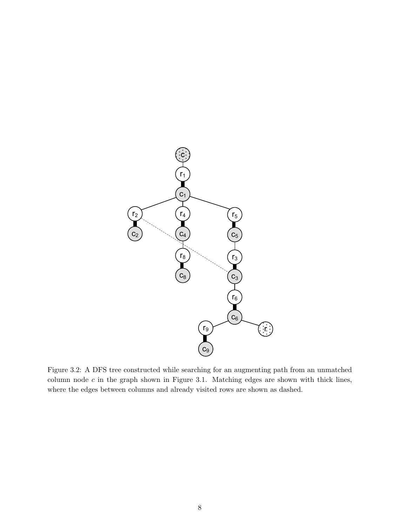

Figure 3.2: A DFS tree constructed while searching for an augmenting path from an unmatched column node  $c$  in the graph shown in Figure 3.1. Matching edges are shown with thick lines, where the edges between columns and already visited rows are shown as dashed.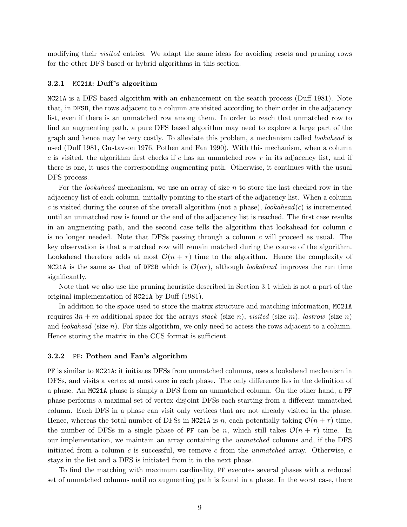modifying their visited entries. We adapt the same ideas for avoiding resets and pruning rows for the other DFS based or hybrid algorithms in this section.

## **3.2.1** MC21A: Duff's algorithm

MC21A is a DFS based algorithm with an enhancement on the search process (Duff 1981). Note that, in DFSB, the rows adjacent to a column are visited according to their order in the adjacency list, even if there is an unmatched row among them. In order to reach that unmatched row to find an augmenting path, a pure DFS based algorithm may need to explore a large part of the graph and hence may be very costly. To alleviate this problem, a mechanism called *lookahead* is used (Duff 1981, Gustavson 1976, Pothen and Fan 1990). With this mechanism, when a column c is visited, the algorithm first checks if c has an unmatched row  $r$  in its adjacency list, and if there is one, it uses the corresponding augmenting path. Otherwise, it continues with the usual DFS process.

For the *lookahead* mechanism, we use an array of size n to store the last checked row in the adjacency list of each column, initially pointing to the start of the adjacency list. When a column c is visited during the course of the overall algorithm (not a phase),  $look ahead(c)$  is incremented until an unmatched row is found or the end of the adjacency list is reached. The first case results in an augmenting path, and the second case tells the algorithm that lookahead for column  $c$ is no longer needed. Note that DFSs passing through a column  $c$  will proceed as usual. The key observation is that a matched row will remain matched during the course of the algorithm. Lookahead therefore adds at most  $\mathcal{O}(n + \tau)$  time to the algorithm. Hence the complexity of MC21A is the same as that of DFSB which is  $\mathcal{O}(n\tau)$ , although *lookahead* improves the run time significantly.

Note that we also use the pruning heuristic described in Section 3.1 which is not a part of the original implementation of MC21A by Duff (1981).

In addition to the space used to store the matrix structure and matching information, MC21A requires  $3n + m$  additional space for the arrays stack (size n), visited (size m), lastrow (size n) and *lookahead* (size  $n$ ). For this algorithm, we only need to access the rows adjacent to a column. Hence storing the matrix in the CCS format is sufficient.

#### 3.2.2 PF: Pothen and Fan's algorithm

PF is similar to MC21A: it initiates DFSs from unmatched columns, uses a lookahead mechanism in DFSs, and visits a vertex at most once in each phase. The only difference lies in the definition of a phase. An MC21A phase is simply a DFS from an unmatched column. On the other hand, a PF phase performs a maximal set of vertex disjoint DFSs each starting from a different unmatched column. Each DFS in a phase can visit only vertices that are not already visited in the phase. Hence, whereas the total number of DFSs in MC21A is n, each potentially taking  $\mathcal{O}(n + \tau)$  time, the number of DFSs in a single phase of PF can be n, which still takes  $\mathcal{O}(n + \tau)$  time. In our implementation, we maintain an array containing the unmatched columns and, if the DFS initiated from a column  $c$  is successful, we remove  $c$  from the *unmatched* array. Otherwise,  $c$ stays in the list and a DFS is initiated from it in the next phase.

To find the matching with maximum cardinality, PF executes several phases with a reduced set of unmatched columns until no augmenting path is found in a phase. In the worst case, there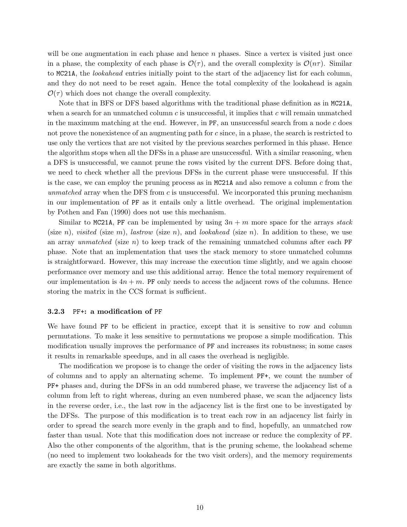will be one augmentation in each phase and hence  $n$  phases. Since a vertex is visited just once in a phase, the complexity of each phase is  $\mathcal{O}(\tau)$ , and the overall complexity is  $\mathcal{O}(n\tau)$ . Similar to MC21A, the lookahead entries initially point to the start of the adjacency list for each column, and they do not need to be reset again. Hence the total complexity of the lookahead is again  $\mathcal{O}(\tau)$  which does not change the overall complexity.

Note that in BFS or DFS based algorithms with the traditional phase definition as in MC21A, when a search for an unmatched column  $c$  is unsuccessful, it implies that  $c$  will remain unmatched in the maximum matching at the end. However, in  $PF$ , an unsuccessful search from a node c does not prove the nonexistence of an augmenting path for c since, in a phase, the search is restricted to use only the vertices that are not visited by the previous searches performed in this phase. Hence the algorithm stops when all the DFSs in a phase are unsuccessful. With a similar reasoning, when a DFS is unsuccessful, we cannot prune the rows visited by the current DFS. Before doing that, we need to check whether all the previous DFSs in the current phase were unsuccessful. If this is the case, we can employ the pruning process as in  $MC21A$  and also remove a column c from the unmatched array when the DFS from  $c$  is unsuccessful. We incorporated this pruning mechanism in our implementation of PF as it entails only a little overhead. The original implementation by Pothen and Fan (1990) does not use this mechanism.

Similar to MC21A, PF can be implemented by using  $3n + m$  more space for the arrays stack (size n), visited (size m), lastrow (size n), and lookahead (size n). In addition to these, we use an array unmatched (size  $n$ ) to keep track of the remaining unmatched columns after each PF phase. Note that an implementation that uses the stack memory to store unmatched columns is straightforward. However, this may increase the execution time slightly, and we again choose performance over memory and use this additional array. Hence the total memory requirement of our implementation is  $4n + m$ . PF only needs to access the adjacent rows of the columns. Hence storing the matrix in the CCS format is sufficient.

## 3.2.3 PF+: a modification of PF

We have found PF to be efficient in practice, except that it is sensitive to row and column permutations. To make it less sensitive to permutations we propose a simple modification. This modification usually improves the performance of PF and increases its robustness; in some cases it results in remarkable speedups, and in all cases the overhead is negligible.

The modification we propose is to change the order of visiting the rows in the adjacency lists of columns and to apply an alternating scheme. To implement PF+, we count the number of PF+ phases and, during the DFSs in an odd numbered phase, we traverse the adjacency list of a column from left to right whereas, during an even numbered phase, we scan the adjacency lists in the reverse order, i.e., the last row in the adjacency list is the first one to be investigated by the DFSs. The purpose of this modification is to treat each row in an adjacency list fairly in order to spread the search more evenly in the graph and to find, hopefully, an unmatched row faster than usual. Note that this modification does not increase or reduce the complexity of PF. Also the other components of the algorithm, that is the pruning scheme, the lookahead scheme (no need to implement two lookaheads for the two visit orders), and the memory requirements are exactly the same in both algorithms.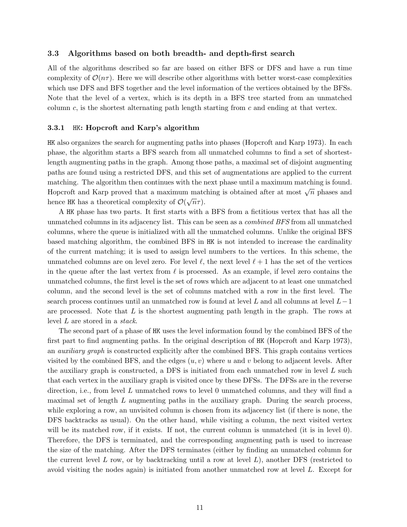## 3.3 Algorithms based on both breadth- and depth-first search

All of the algorithms described so far are based on either BFS or DFS and have a run time complexity of  $\mathcal{O}(n\tau)$ . Here we will describe other algorithms with better worst-case complexities which use DFS and BFS together and the level information of the vertices obtained by the BFSs. Note that the level of a vertex, which is its depth in a BFS tree started from an unmatched column  $c$ , is the shortest alternating path length starting from  $c$  and ending at that vertex.

#### 3.3.1 HK: Hopcroft and Karp's algorithm

HK also organizes the search for augmenting paths into phases (Hopcroft and Karp 1973). In each phase, the algorithm starts a BFS search from all unmatched columns to find a set of shortestlength augmenting paths in the graph. Among those paths, a maximal set of disjoint augmenting paths are found using a restricted DFS, and this set of augmentations are applied to the current matching. The algorithm then continues with the next phase until a maximum matching is found. Hopcroft and Karp proved that a maximum matching is obtained after at most  $\sqrt{n}$  phases and hence HK has a theoretical complexity of  $\mathcal{O}(\sqrt{n}\tau)$ .

A HK phase has two parts. It first starts with a BFS from a fictitious vertex that has all the unmatched columns in its adjacency list. This can be seen as a combined BFS from all unmatched columns, where the queue is initialized with all the unmatched columns. Unlike the original BFS based matching algorithm, the combined BFS in HK is not intended to increase the cardinality of the current matching; it is used to assign level numbers to the vertices. In this scheme, the unmatched columns are on level zero. For level  $\ell$ , the next level  $\ell + 1$  has the set of the vertices in the queue after the last vertex from  $\ell$  is processed. As an example, if level zero contains the unmatched columns, the first level is the set of rows which are adjacent to at least one unmatched column, and the second level is the set of columns matched with a row in the first level. The search process continues until an unmatched row is found at level L and all columns at level  $L-1$ are processed. Note that  $L$  is the shortest augmenting path length in the graph. The rows at level L are stored in a stack.

The second part of a phase of HK uses the level information found by the combined BFS of the first part to find augmenting paths. In the original description of HK (Hopcroft and Karp 1973), an auxiliary graph is constructed explicitly after the combined BFS. This graph contains vertices visited by the combined BFS, and the edges  $(u, v)$  where u and v belong to adjacent levels. After the auxiliary graph is constructed, a DFS is initiated from each unmatched row in level  $L$  such that each vertex in the auxiliary graph is visited once by these DFSs. The DFSs are in the reverse direction, i.e., from level L unmatched rows to level 0 unmatched columns, and they will find a maximal set of length  $L$  augmenting paths in the auxiliary graph. During the search process, while exploring a row, an unvisited column is chosen from its adjacency list (if there is none, the DFS backtracks as usual). On the other hand, while visiting a column, the next visited vertex will be its matched row, if it exists. If not, the current column is unmatched (it is in level 0). Therefore, the DFS is terminated, and the corresponding augmenting path is used to increase the size of the matching. After the DFS terminates (either by finding an unmatched column for the current level L row, or by backtracking until a row at level  $L$ ), another DFS (restricted to avoid visiting the nodes again) is initiated from another unmatched row at level L. Except for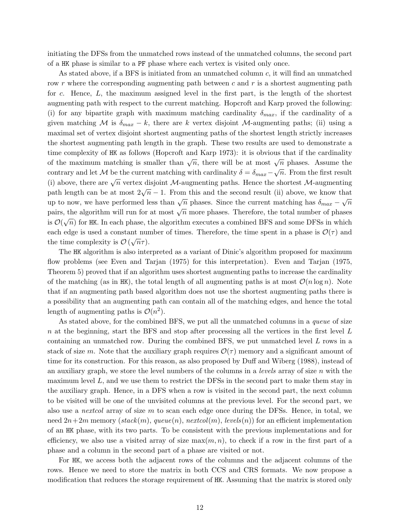initiating the DFSs from the unmatched rows instead of the unmatched columns, the second part of a HK phase is similar to a PF phase where each vertex is visited only once.

As stated above, if a BFS is initiated from an unmatched column c, it will find an unmatched row r where the corresponding augmenting path between c and r is a shortest augmenting path for c. Hence, L, the maximum assigned level in the first part, is the length of the shortest augmenting path with respect to the current matching. Hopcroft and Karp proved the following: (i) for any bipartite graph with maximum matching cardinality  $\delta_{max}$ , if the cardinality of a given matching M is  $\delta_{max} - k$ , there are k vertex disjoint M-augmenting paths; (ii) using a maximal set of vertex disjoint shortest augmenting paths of the shortest length strictly increases the shortest augmenting path length in the graph. These two results are used to demonstrate a time complexity of HK as follows (Hopcroft and Karp 1973): it is obvious that if the cardinality of the maximum matching is smaller than  $\sqrt{n}$ , there will be at most  $\sqrt{n}$  phases. Assume the contrary and let M be the current matching with cardinality  $\delta = \delta_{max} - \sqrt{n}$ . From the first result (i) above, there are  $\sqrt{n}$  vertex disjoint M-augmenting paths. Hence the shortest M-augmenting path length can be at most  $2\sqrt{n} - 1$ . From this and the second result (ii) above, we know that plast religion can be at most  $2\sqrt{n}$ . The run and the second result (ii) above, we know that<br>up to now, we have performed less than  $\sqrt{n}$  phases. Since the current matching has  $\delta_{max} - \sqrt{n}$ pairs, the algorithm will run for at most  $\sqrt{n}$  more phases. Therefore, the total number of phases  $\therefore \mathcal{D}(\sqrt{n})$  for  $\mathbf{m}$ ,  $\mathbf{r}$ is  $\mathcal{O}(\sqrt{n})$  for HK. In each phase, the algorithm executes a combined BFS and some DFSs in which each edge is used a constant number of times. Therefore, the time spent in a phase is  $\mathcal{O}(\tau)$  and the time complexity is  $\mathcal{O}(\sqrt{n}\tau)$ .

The HK algorithm is also interpreted as a variant of Dinic's algorithm proposed for maximum flow problems (see Even and Tarjan (1975) for this interpretation). Even and Tarjan (1975, Theorem 5) proved that if an algorithm uses shortest augmenting paths to increase the cardinality of the matching (as in HK), the total length of all augmenting paths is at most  $\mathcal{O}(n \log n)$ . Note that if an augmenting path based algorithm does not use the shortest augmenting paths there is a possibility that an augmenting path can contain all of the matching edges, and hence the total length of augmenting paths is  $\mathcal{O}(n^2)$ .

As stated above, for the combined BFS, we put all the unmatched columns in a queue of size n at the beginning, start the BFS and stop after processing all the vertices in the first level  $L$ containing an unmatched row. During the combined BFS, we put unmatched level L rows in a stack of size m. Note that the auxiliary graph requires  $\mathcal{O}(\tau)$  memory and a significant amount of time for its construction. For this reason, as also proposed by Duff and Wiberg (1988), instead of an auxiliary graph, we store the level numbers of the columns in a *levels* array of size  $n$  with the maximum level  $L$ , and we use them to restrict the DFSs in the second part to make them stay in the auxiliary graph. Hence, in a DFS when a row is visited in the second part, the next column to be visited will be one of the unvisited columns at the previous level. For the second part, we also use a *nextcol* array of size  $m$  to scan each edge once during the DFSs. Hence, in total, we need  $2n+2m$  memory (stack(m), queue(n), nextcol(m), levels(n)) for an efficient implementation of an HK phase, with its two parts. To be consistent with the previous implementations and for efficiency, we also use a visited array of size  $max(m, n)$ , to check if a row in the first part of a phase and a column in the second part of a phase are visited or not.

For HK, we access both the adjacent rows of the columns and the adjacent columns of the rows. Hence we need to store the matrix in both CCS and CRS formats. We now propose a modification that reduces the storage requirement of HK. Assuming that the matrix is stored only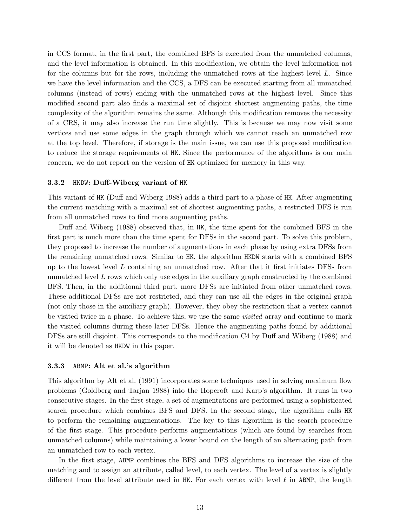in CCS format, in the first part, the combined BFS is executed from the unmatched columns, and the level information is obtained. In this modification, we obtain the level information not for the columns but for the rows, including the unmatched rows at the highest level L. Since we have the level information and the CCS, a DFS can be executed starting from all unmatched columns (instead of rows) ending with the unmatched rows at the highest level. Since this modified second part also finds a maximal set of disjoint shortest augmenting paths, the time complexity of the algorithm remains the same. Although this modification removes the necessity of a CRS, it may also increase the run time slightly. This is because we may now visit some vertices and use some edges in the graph through which we cannot reach an unmatched row at the top level. Therefore, if storage is the main issue, we can use this proposed modification to reduce the storage requirements of HK. Since the performance of the algorithms is our main concern, we do not report on the version of HK optimized for memory in this way.

#### 3.3.2 HKDW: Duff-Wiberg variant of HK

This variant of HK (Duff and Wiberg 1988) adds a third part to a phase of HK. After augmenting the current matching with a maximal set of shortest augmenting paths, a restricted DFS is run from all unmatched rows to find more augmenting paths.

Duff and Wiberg (1988) observed that, in HK, the time spent for the combined BFS in the first part is much more than the time spent for DFSs in the second part. To solve this problem, they proposed to increase the number of augmentations in each phase by using extra DFSs from the remaining unmatched rows. Similar to HK, the algorithm HKDW starts with a combined BFS up to the lowest level  $L$  containing an unmatched row. After that it first initiates DFSs from unmatched level  $L$  rows which only use edges in the auxiliary graph constructed by the combined BFS. Then, in the additional third part, more DFSs are initiated from other unmatched rows. These additional DFSs are not restricted, and they can use all the edges in the original graph (not only those in the auxiliary graph). However, they obey the restriction that a vertex cannot be visited twice in a phase. To achieve this, we use the same visited array and continue to mark the visited columns during these later DFSs. Hence the augmenting paths found by additional DFSs are still disjoint. This corresponds to the modification C4 by Duff and Wiberg (1988) and it will be denoted as HKDW in this paper.

## 3.3.3 ABMP: Alt et al.'s algorithm

This algorithm by Alt et al. (1991) incorporates some techniques used in solving maximum flow problems (Goldberg and Tarjan 1988) into the Hopcroft and Karp's algorithm. It runs in two consecutive stages. In the first stage, a set of augmentations are performed using a sophisticated search procedure which combines BFS and DFS. In the second stage, the algorithm calls HK to perform the remaining augmentations. The key to this algorithm is the search procedure of the first stage. This procedure performs augmentations (which are found by searches from unmatched columns) while maintaining a lower bound on the length of an alternating path from an unmatched row to each vertex.

In the first stage, ABMP combines the BFS and DFS algorithms to increase the size of the matching and to assign an attribute, called level, to each vertex. The level of a vertex is slightly different from the level attribute used in HK. For each vertex with level  $\ell$  in ABMP, the length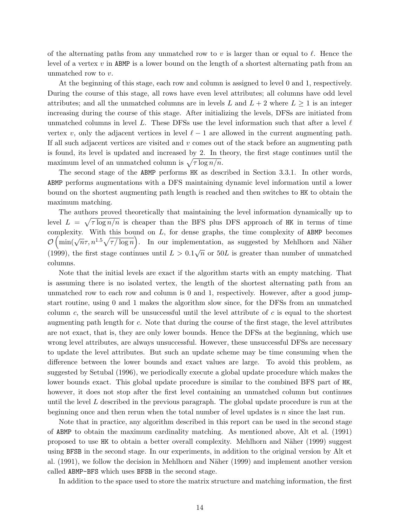of the alternating paths from any unmatched row to v is larger than or equal to  $\ell$ . Hence the level of a vertex  $v$  in ABMP is a lower bound on the length of a shortest alternating path from an unmatched row to v.

At the beginning of this stage, each row and column is assigned to level 0 and 1, respectively. During the course of this stage, all rows have even level attributes; all columns have odd level attributes; and all the unmatched columns are in levels L and  $L + 2$  where  $L \geq 1$  is an integer increasing during the course of this stage. After initializing the levels, DFSs are initiated from unmatched columns in level L. These DFSs use the level information such that after a level  $\ell$ vertex v, only the adjacent vertices in level  $\ell - 1$  are allowed in the current augmenting path. If all such adjacent vertices are visited and  $v$  comes out of the stack before an augmenting path is found, its level is updated and increased by 2. In theory, the first stage continues until the maximum level of an unmatched column is  $\sqrt{\tau \log n/n}$ .

The second stage of the ABMP performs HK as described in Section 3.3.1. In other words, ABMP performs augmentations with a DFS maintaining dynamic level information until a lower bound on the shortest augmenting path length is reached and then switches to HK to obtain the maximum matching.

The authors proved theoretically that maintaining the level information dynamically up to level  $L = \sqrt{\tau \log n/n}$  is cheaper than the BFS plus DFS approach of HK in terms of time complexity. With this bound on  $L$ , for dense graphs, the time complexity of ABMP becomes  $\mathcal{O}(\min(\sqrt{n}\tau, n^{1.5}\sqrt{\tau/\log n})$ . In our implementation, as suggested by Mehlhorn and Näher (1999), the first stage continues until  $L > 0.1\sqrt{n}$  or 50L is greater than number of unmatched columns.

Note that the initial levels are exact if the algorithm starts with an empty matching. That is assuming there is no isolated vertex, the length of the shortest alternating path from an unmatched row to each row and column is 0 and 1, respectively. However, after a good jumpstart routine, using 0 and 1 makes the algorithm slow since, for the DFSs from an unmatched column c, the search will be unsuccessful until the level attribute of  $c$  is equal to the shortest augmenting path length for c. Note that during the course of the first stage, the level attributes are not exact, that is, they are only lower bounds. Hence the DFSs at the beginning, which use wrong level attributes, are always unsuccessful. However, these unsuccessful DFSs are necessary to update the level attributes. But such an update scheme may be time consuming when the difference between the lower bounds and exact values are large. To avoid this problem, as suggested by Setubal (1996), we periodically execute a global update procedure which makes the lower bounds exact. This global update procedure is similar to the combined BFS part of HK, however, it does not stop after the first level containing an unmatched column but continues until the level  $L$  described in the previous paragraph. The global update procedure is run at the beginning once and then rerun when the total number of level updates is n since the last run.

Note that in practice, any algorithm described in this report can be used in the second stage of ABMP to obtain the maximum cardinality matching. As mentioned above, Alt et al. (1991) proposed to use HK to obtain a better overall complexity. Mehlhorn and N¨aher (1999) suggest using BFSB in the second stage. In our experiments, in addition to the original version by Alt et al. (1991), we follow the decision in Mehlhorn and Näher (1999) and implement another version called ABMP-BFS which uses BFSB in the second stage.

In addition to the space used to store the matrix structure and matching information, the first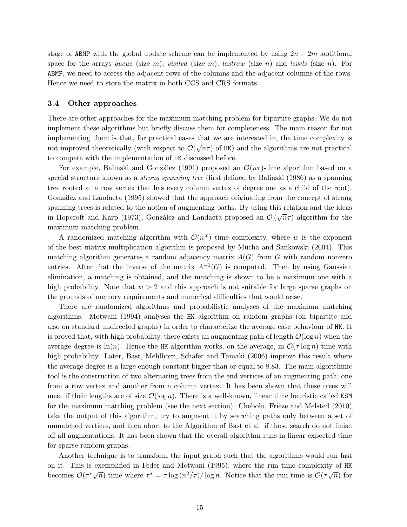stage of ABMP with the global update scheme can be implemented by using  $2n + 2m$  additional space for the arrays queue (size m), visited (size m), lastrow (size n) and levels (size n). For ABMP, we need to access the adjacent rows of the columns and the adjacent columns of the rows. Hence we need to store the matrix in both CCS and CRS formats.

#### 3.4 Other approaches

There are other approaches for the maximum matching problem for bipartite graphs. We do not implement these algorithms but briefly discuss them for completeness. The main reason for not implementing them is that, for practical cases that we are interested in, the time complexity is impromed theoretically (with respect to  $\mathcal{O}(\sqrt{n}\tau)$  of HK) and the algorithms are not practical to compete with the implementation of HK discussed before.

For example, Balinski and González (1991) proposed an  $\mathcal{O}(n\tau)$ -time algorithm based on a special structure known as a *strong spanning tree* (first defined by Balinski (1986) as a spanning tree rooted at a row vertex that has every column vertex of degree one as a child of the root). González and Landaeta (1995) showed that the approach originating from the concept of strong spanning trees is related to the notion of augmenting paths. By using this relation and the ideas in Hopcroft and Karp (1973), González and Landaeta proposed an  $\mathcal{O}(\sqrt{n}\tau)$  algorithm for the maximum matching problem.

A randomized matching algorithm with  $\mathcal{O}(n^w)$  time complexity, where w is the exponent of the best matrix multiplication algorithm is proposed by Mucha and Sankowski (2004). This matching algorithm generates a random adjacency matrix  $A(G)$  from G with random nonzero entries. After that the inverse of the matrix  $A^{-1}(G)$  is computed. Then by using Gaussian elimination, a matching is obtained, and the matching is shown to be a maximum one with a high probability. Note that  $w > 2$  and this approach is not suitable for large sparse graphs on the grounds of memory requirements and numerical difficulties that would arise.

There are randomized algorithms and probabilistic analyses of the maximum matching algorithms. Motwani (1994) analyses the HK algorithm on random graphs (on bipartite and also on standard undirected graphs) in order to characterize the average case behaviour of HK. It is proved that, with high probability, there exists an augmenting path of length  $\mathcal{O}(\log n)$  when the average degree is  $\ln(n)$ . Hence the HK algorithm works, on the average, in  $\mathcal{O}(\tau \log n)$  time with high probability. Later, Bast, Mehlhorn, Schafer and Tamaki (2006) improve this result where the average degree is a large enough constant bigger than or equal to 8.83. The main algorithmic tool is the construction of two alternating trees from the end vertices of an augmenting path; one from a row vertex and another from a column vertex. It has been shown that these trees will meet if their lengths are of size  $\mathcal{O}(\log n)$ . There is a well-known, linear time heuristic called KSM for the maximum matching problem (see the next section). Chebolu, Frieze and Melsted (2010) take the output of this algorithm, try to augment it by searching paths only between a set of unmatched vertices, and then abort to the Algorithm of Bast et al. if those search do not finish off all augmentations. It has been shown that the overall algorithm runs in linear expected time for sparse random graphs.

Another technique is to transform the input graph such that the algorithms would run fast on it. This is exemplified in Feder and Motwani (1995), where the run time complexity of HK becomes  $\mathcal{O}(\tau^*\sqrt{n})$ -time where  $\tau^* = \tau \log(n^2/\tau)/\log n$ . Notice that the run time is  $\mathcal{O}(\tau\sqrt{n})$  for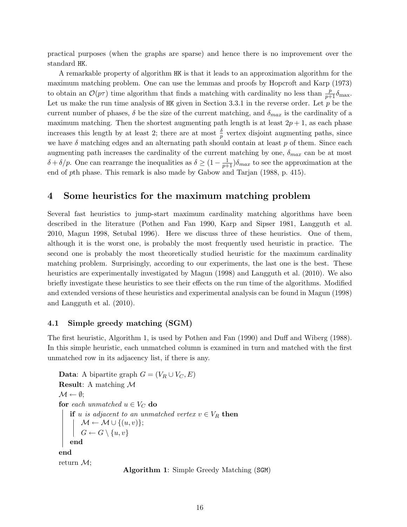practical purposes (when the graphs are sparse) and hence there is no improvement over the standard HK.

A remarkable property of algorithm HK is that it leads to an approximation algorithm for the maximum matching problem. One can use the lemmas and proofs by Hopcroft and Karp (1973) to obtain an  $\mathcal{O}(p\tau)$  time algorithm that finds a matching with cardinality no less than  $\frac{p}{p+1}\delta_{\max}$ . Let us make the run time analysis of HK given in Section 3.3.1 in the reverse order. Let  $p$  be the current number of phases,  $\delta$  be the size of the current matching, and  $\delta_{max}$  is the cardinality of a maximum matching. Then the shortest augmenting path length is at least  $2p + 1$ , as each phase increases this length by at least 2; there are at most  $\frac{\delta}{p}$  vertex disjoint augmenting paths, since we have  $\delta$  matching edges and an alternating path should contain at least p of them. Since each augmenting path increases the cardinality of the current matching by one,  $\delta_{max}$  can be at most  $\delta + \delta/p$ . One can rearrange the inequalities as  $\delta \geq (1 - \frac{1}{p+1})\delta_{max}$  to see the approximation at the end of pth phase. This remark is also made by Gabow and Tarjan (1988, p. 415).

## 4 Some heuristics for the maximum matching problem

Several fast heuristics to jump-start maximum cardinality matching algorithms have been described in the literature (Pothen and Fan 1990, Karp and Sipser 1981, Langguth et al. 2010, Magun 1998, Setubal 1996). Here we discuss three of these heuristics. One of them, although it is the worst one, is probably the most frequently used heuristic in practice. The second one is probably the most theoretically studied heuristic for the maximum cardinality matching problem. Surprisingly, according to our experiments, the last one is the best. These heuristics are experimentally investigated by Magun (1998) and Langguth et al. (2010). We also briefly investigate these heuristics to see their effects on the run time of the algorithms. Modified and extended versions of these heuristics and experimental analysis can be found in Magun (1998) and Langguth et al. (2010).

## 4.1 Simple greedy matching (SGM)

The first heuristic, Algorithm 1, is used by Pothen and Fan (1990) and Duff and Wiberg (1988). In this simple heuristic, each unmatched column is examined in turn and matched with the first unmatched row in its adjacency list, if there is any.

**Data:** A bipartite graph  $G = (V_R \cup V_C, E)$ **Result:** A matching  $M$  $\mathcal{M} \leftarrow \emptyset;$ for each unmatched  $u \in V_C$  do if u is adjacent to an unmatched vertex  $v \in V_R$  then  $\mathcal{M} \leftarrow \mathcal{M} \cup \{(u, v)\};$  $G \leftarrow G \setminus \{u, v\}$ end end return  $\mathcal{M}$ ;

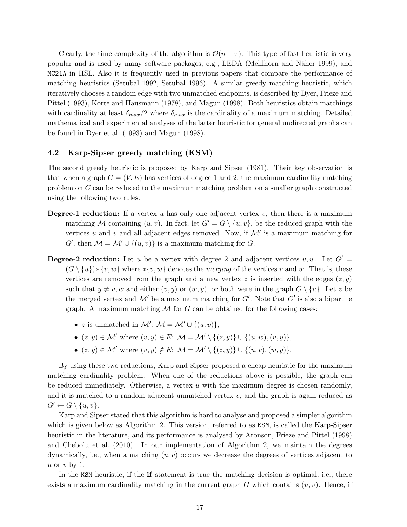Clearly, the time complexity of the algorithm is  $\mathcal{O}(n + \tau)$ . This type of fast heuristic is very popular and is used by many software packages, e.g., LEDA (Mehlhorn and N¨aher 1999), and MC21A in HSL. Also it is frequently used in previous papers that compare the performance of matching heuristics (Setubal 1992, Setubal 1996). A similar greedy matching heuristic, which iteratively chooses a random edge with two unmatched endpoints, is described by Dyer, Frieze and Pittel (1993), Korte and Hausmann (1978), and Magun (1998). Both heuristics obtain matchings with cardinality at least  $\delta_{max}/2$  where  $\delta_{max}$  is the cardinality of a maximum matching. Detailed mathematical and experimental analyses of the latter heuristic for general undirected graphs can be found in Dyer et al. (1993) and Magun (1998).

## 4.2 Karp-Sipser greedy matching (KSM)

The second greedy heuristic is proposed by Karp and Sipser (1981). Their key observation is that when a graph  $G = (V, E)$  has vertices of degree 1 and 2, the maximum cardinality matching problem on G can be reduced to the maximum matching problem on a smaller graph constructed using the following two rules.

- **Degree-1 reduction:** If a vertex u has only one adjacent vertex v, then there is a maximum matching M containing  $(u, v)$ . In fact, let  $G' = G \setminus \{u, v\}$ , be the reduced graph with the vertices u and v and all adjacent edges removed. Now, if  $\mathcal{M}'$  is a maximum matching for G', then  $\mathcal{M} = \mathcal{M}' \cup \{(u, v)\}\$ is a maximum matching for G.
- **Degree-2 reduction:** Let u be a vertex with degree 2 and adjacent vertices v, w. Let  $G' =$  $(G \setminus \{u\}) * \{v, w\}$  where  $*\{v, w\}$  denotes the *merging* of the vertices v and w. That is, these vertices are removed from the graph and a new vertex z is inserted with the edges  $(z, y)$ such that  $y \neq v, w$  and either  $(v, y)$  or  $(w, y)$ , or both were in the graph  $G \setminus \{u\}$ . Let z be the merged vertex and  $\mathcal{M}'$  be a maximum matching for  $G'$ . Note that  $G'$  is also a bipartite graph. A maximum matching  $\mathcal M$  for  $G$  can be obtained for the following cases:
	- z is unmatched in  $\mathcal{M}'$ :  $\mathcal{M} = \mathcal{M}' \cup \{(u, v)\},$
	- $(z, y) \in \mathcal{M}'$  where  $(v, y) \in E: \mathcal{M} = \mathcal{M}' \setminus \{(z, y)\} \cup \{(u, w), (v, y)\},\$
	- $(z, y) \in \mathcal{M}'$  where  $(v, y) \notin E: \mathcal{M} = \mathcal{M}' \setminus \{(z, y)\} \cup \{(u, v), (w, y)\}.$

By using these two reductions, Karp and Sipser proposed a cheap heuristic for the maximum matching cardinality problem. When one of the reductions above is possible, the graph can be reduced immediately. Otherwise, a vertex  $u$  with the maximum degree is chosen randomly, and it is matched to a random adjacent unmatched vertex  $v$ , and the graph is again reduced as  $G' \leftarrow G \setminus \{u, v\}.$ 

Karp and Sipser stated that this algorithm is hard to analyse and proposed a simpler algorithm which is given below as Algorithm 2. This version, referred to as KSM, is called the Karp-Sipser heuristic in the literature, and its performance is analysed by Aronson, Frieze and Pittel (1998) and Chebolu et al. (2010). In our implementation of Algorithm 2, we maintain the degrees dynamically, i.e., when a matching  $(u, v)$  occurs we decrease the degrees of vertices adjacent to u or  $v$  by 1.

In the KSM heuristic, if the **if** statement is true the matching decision is optimal, i.e., there exists a maximum cardinality matching in the current graph G which contains  $(u, v)$ . Hence, if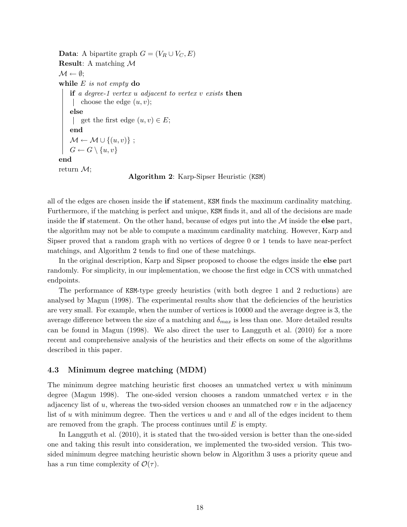**Data:** A bipartite graph  $G = (V_R \cup V_C, E)$ Result: A matching M  $\mathcal{M} \leftarrow \emptyset;$ while  $E$  is not empty do if a degree-1 vertex  $u$  adjacent to vertex  $v$  exists then | choose the edge  $(u, v)$ ; else | get the first edge  $(u, v) \in E$ ; end  $\mathcal{M} \leftarrow \mathcal{M} \cup \{(u, v)\}$ ;  $G \leftarrow G \setminus \{u, v\}$ end return  $\mathcal{M}$ ; Algorithm 2: Karp-Sipser Heuristic (KSM)

all of the edges are chosen inside the if statement, KSM finds the maximum cardinality matching. Furthermore, if the matching is perfect and unique, KSM finds it, and all of the decisions are made inside the if statement. On the other hand, because of edges put into the  $\mathcal M$  inside the else part, the algorithm may not be able to compute a maximum cardinality matching. However, Karp and Sipser proved that a random graph with no vertices of degree 0 or 1 tends to have near-perfect matchings, and Algorithm 2 tends to find one of these matchings.

In the original description, Karp and Sipser proposed to choose the edges inside the else part randomly. For simplicity, in our implementation, we choose the first edge in CCS with unmatched endpoints.

The performance of KSM-type greedy heuristics (with both degree 1 and 2 reductions) are analysed by Magun (1998). The experimental results show that the deficiencies of the heuristics are very small. For example, when the number of vertices is 10000 and the average degree is 3, the average difference between the size of a matching and  $\delta_{max}$  is less than one. More detailed results can be found in Magun (1998). We also direct the user to Langguth et al. (2010) for a more recent and comprehensive analysis of the heuristics and their effects on some of the algorithms described in this paper.

## 4.3 Minimum degree matching (MDM)

The minimum degree matching heuristic first chooses an unmatched vertex  $u$  with minimum degree (Magun 1998). The one-sided version chooses a random unmatched vertex  $v$  in the adjacency list of u, whereas the two-sided version chooses an unmatched row  $v$  in the adjacency list of u with minimum degree. Then the vertices u and v and all of the edges incident to them are removed from the graph. The process continues until  $E$  is empty.

In Langguth et al. (2010), it is stated that the two-sided version is better than the one-sided one and taking this result into consideration, we implemented the two-sided version. This twosided minimum degree matching heuristic shown below in Algorithm 3 uses a priority queue and has a run time complexity of  $\mathcal{O}(\tau)$ .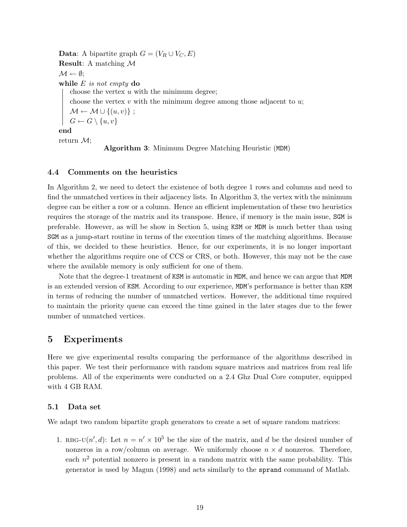**Data:** A bipartite graph  $G = (V_R \cup V_C, E)$ Result: A matching M  $\mathcal{M} \leftarrow \emptyset$ ; while  $E$  is not empty do choose the vertex  $u$  with the minimum degree; choose the vertex  $v$  with the minimum degree among those adjacent to  $u$ ;  $\mathcal{M} \leftarrow \mathcal{M} \cup \{(u, v)\};$  $G \leftarrow G \setminus \{u, v\}$ end return M; Algorithm 3: Minimum Degree Matching Heuristic (MDM)

## 4.4 Comments on the heuristics

In Algorithm 2, we need to detect the existence of both degree 1 rows and columns and need to find the unmatched vertices in their adjacency lists. In Algorithm 3, the vertex with the minimum degree can be either a row or a column. Hence an efficient implementation of these two heuristics requires the storage of the matrix and its transpose. Hence, if memory is the main issue, SGM is preferable. However, as will be show in Section 5, using KSM or MDM is much better than using SGM as a jump-start routine in terms of the execution times of the matching algorithms. Because of this, we decided to these heuristics. Hence, for our experiments, it is no longer important whether the algorithms require one of CCS or CRS, or both. However, this may not be the case where the available memory is only sufficient for one of them.

Note that the degree-1 treatment of KSM is automatic in MDM, and hence we can argue that MDM is an extended version of KSM. According to our experience, MDM's performance is better than KSM in terms of reducing the number of unmatched vertices. However, the additional time required to maintain the priority queue can exceed the time gained in the later stages due to the fewer number of unmatched vertices.

## 5 Experiments

Here we give experimental results comparing the performance of the algorithms described in this paper. We test their performance with random square matrices and matrices from real life problems. All of the experiments were conducted on a 2.4 Ghz Dual Core computer, equipped with 4 GB RAM.

## 5.1 Data set

We adapt two random bipartite graph generators to create a set of square random matrices:

1. RBG-U $(n', d)$ : Let  $n = n' \times 10^5$  be the size of the matrix, and d be the desired number of nonzeros in a row/column on average. We uniformly choose  $n \times d$  nonzeros. Therefore, each  $n^2$  potential nonzero is present in a random matrix with the same probability. This generator is used by Magun (1998) and acts similarly to the sprand command of Matlab.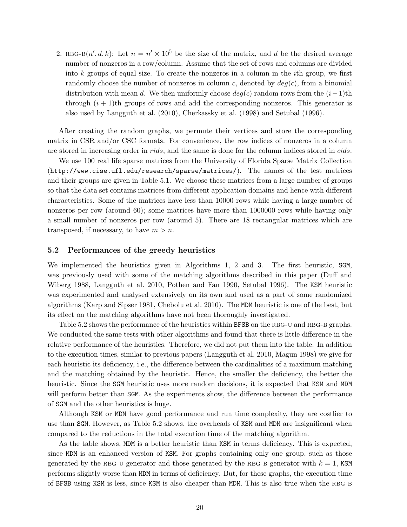2. RBG-B $(n', d, k)$ : Let  $n = n' \times 10^5$  be the size of the matrix, and d be the desired average number of nonzeros in a row/column. Assume that the set of rows and columns are divided into  $k$  groups of equal size. To create the nonzeros in a column in the *i*th group, we first randomly choose the number of nonzeros in column c, denoted by  $deg(c)$ , from a binomial distribution with mean d. We then uniformly choose  $deg(c)$  random rows from the  $(i-1)$ th through  $(i + 1)$ th groups of rows and add the corresponding nonzeros. This generator is also used by Langguth et al. (2010), Cherkassky et al. (1998) and Setubal (1996).

After creating the random graphs, we permute their vertices and store the corresponding matrix in CSR and/or CSC formats. For convenience, the row indices of nonzeros in a column are stored in increasing order in *rids*, and the same is done for the column indices stored in *cids*.

We use 100 real life sparse matrices from the University of Florida Sparse Matrix Collection (http://www.cise.ufl.edu/research/sparse/matrices/). The names of the test matrices and their groups are given in Table 5.1. We choose these matrices from a large number of groups so that the data set contains matrices from different application domains and hence with different characteristics. Some of the matrices have less than 10000 rows while having a large number of nonzeros per row (around 60); some matrices have more than 1000000 rows while having only a small number of nonzeros per row (around 5). There are 18 rectangular matrices which are transposed, if necessary, to have  $m > n$ .

## 5.2 Performances of the greedy heuristics

We implemented the heuristics given in Algorithms 1, 2 and 3. The first heuristic, SGM, was previously used with some of the matching algorithms described in this paper (Duff and Wiberg 1988, Langguth et al. 2010, Pothen and Fan 1990, Setubal 1996). The KSM heuristic was experimented and analysed extensively on its own and used as a part of some randomized algorithms (Karp and Sipser 1981, Chebolu et al. 2010). The MDM heuristic is one of the best, but its effect on the matching algorithms have not been thoroughly investigated.

Table 5.2 shows the performance of the heuristics within BFSB on the RBG-U and RBG-B graphs. We conducted the same tests with other algorithms and found that there is little difference in the relative performance of the heuristics. Therefore, we did not put them into the table. In addition to the execution times, similar to previous papers (Langguth et al. 2010, Magun 1998) we give for each heuristic its deficiency, i.e., the difference between the cardinalities of a maximum matching and the matching obtained by the heuristic. Hence, the smaller the deficiency, the better the heuristic. Since the SGM heuristic uses more random decisions, it is expected that KSM and MDM will perform better than **SGM**. As the experiments show, the difference between the performance of SGM and the other heuristics is huge.

Although KSM or MDM have good performance and run time complexity, they are costlier to use than SGM. However, as Table 5.2 shows, the overheads of KSM and MDM are insignificant when compared to the reductions in the total execution time of the matching algorithm.

As the table shows, MDM is a better heuristic than KSM in terms deficiency. This is expected, since MDM is an enhanced version of KSM. For graphs containing only one group, such as those generated by the RBG-U generator and those generated by the RBG-B generator with  $k = 1$ , KSM performs slightly worse than MDM in terms of deficiency. But, for these graphs, the execution time of BFSB using KSM is less, since KSM is also cheaper than MDM. This is also true when the RBG-B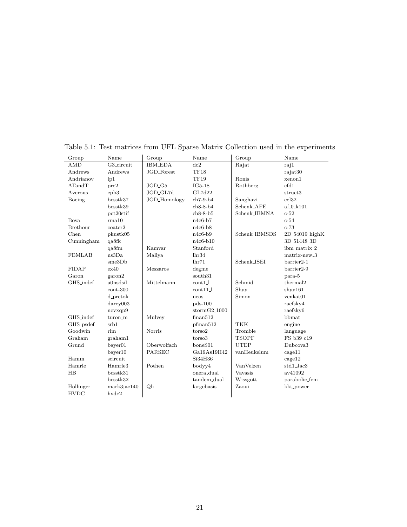| Group         | Name                | Group               | Name            | Group         | Name                        |
|---------------|---------------------|---------------------|-----------------|---------------|-----------------------------|
| <b>AMD</b>    | G3 circuit          | <b>IBM_EDA</b>      | dc2             | Rajat         | raj1                        |
| Andrews       | Andrews             | JGD_Forest          | TF18            |               | rajat30                     |
| Andrianov     | lp1                 |                     | TF19            | Ronis         | xenon1                      |
| ATandT        | pre2                | $JGD_G5$            | $IG5-18$        | Rothberg      | cfd1                        |
| Averous       | epb <sub>3</sub>    | JGD_GL7d            | GL7d22          |               | struct3                     |
| Boeing        | bcsstk37            | <b>JGD_Homology</b> | $ch7-9-b4$      | Sanghavi      | ecl32                       |
|               | bcsstk39            |                     | $ch8-8-b4$      | Schenk_AFE    | $af_0_k101$                 |
|               | pct20stif           |                     | $ch8-8-b5$      | Schenk_IBMNA  | $c-52$                      |
| Bova          | rma10               |                     | $n4c6-b7$       |               | $c-54$                      |
| Brethour      | $\mathrm{coater}2$  |                     | $n4c6-b8$       |               | $c-73$                      |
| Chen          | pkustk05            |                     | $n4c6-b9$       | Schenk_IBMSDS | 2D <sub>-54019</sub> -highK |
| Cunningham    | qa8fk               |                     | $n4c6-b10$      |               | 3D <sub>-51448-3D</sub>     |
|               | qa8fm               | Kamvar              | Stanford        |               | ibm_matrix_2                |
| <b>FEMLAB</b> | ns3Da               | Mallya              | lhr34           |               | matrix-new <sub>-3</sub>    |
|               | sme3Db              |                     | lhr71           | Schenk_ISEI   | $barrier2-1$                |
| <b>FIDAP</b>  | ex40                | Meszaros            | degme           |               | $barrier2-9$                |
| Garon         | garon2              |                     | south31         |               | para-5                      |
| GHS_indef     | a0nsdsil            | Mittelmann          | $\text{cont1}$  | Schmid        | thermal <sub>2</sub>        |
|               | $cont-300$          |                     | $\text{cont11}$ | Shyy          | shyy161                     |
|               | $d$ -pretok         |                     | neos            | Simon         | venkat01                    |
|               | darcy003            |                     | $pds-100$       |               | raefsky4                    |
|               | ncvxqp9             |                     | $stormG2_1000$  |               | raefsky6                    |
| GHS_indef     | turon m             | Mulvey              | finan512        |               | bbmat                       |
| GHS_psdef     | srb1                |                     | pfinan512       | <b>TKK</b>    | engine                      |
| Goodwin       | rim                 | Norris              | torso2          | Tromble       | language                    |
| Graham        | graham1             |                     | torso3          | <b>TSOPF</b>  | FS_b39_c19                  |
| Grund         | bayer01             | Oberwolfach         | boneS01         | <b>UTEP</b>   | Dubcova <sub>3</sub>        |
|               | bayer10             | PARSEC              | Ga19As19H42     | vanHeukelum   | cage11                      |
| Hamm          | scircuit            |                     | Si34H36         |               | cage12                      |
| Hamrle        | Hamrle <sub>3</sub> | Pothen              | bodyy4          | VanVelzen     | std1_Jac3                   |
| HB            | bcsstk31            |                     | onera dual      | Vavasis       | av41092                     |
|               | bcsstk32            |                     | tandem_dual     | Wissgott      | parabolic_fem               |
| Hollinger     | mark3jac140         | Qli                 | largebasis      | Zaoui         | kkt_power                   |
| <b>HVDC</b>   | hvdc2               |                     |                 |               |                             |
|               |                     |                     |                 |               |                             |

Table 5.1: Test matrices from UFL Sparse Matrix Collection used in the experiments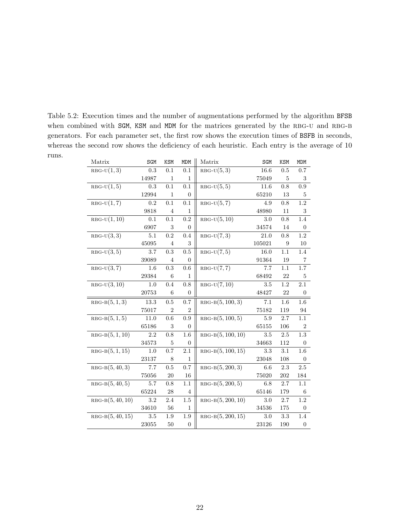Table 5.2: Execution times and the number of augmentations performed by the algorithm BFSB when combined with SGM, KSM and MDM for the matrices generated by the RBG-U and RBG-B generators. For each parameter set, the first row shows the execution times of BSFB in seconds, whereas the second row shows the deficiency of each heuristic. Each entry is the average of 10 runs.

| $RBG-U(1,3)$<br>0.3<br>0.1<br>$RBG-U(5,3)$<br>16.6<br>0.7<br>0.1<br>0.5<br>14987<br>75049<br>$\mathbf{1}$<br>$\mathbf{1}$<br>5<br>3<br>$RBG-U(1,5)$<br>0.3<br>0.1<br>0.1<br>$RBG-U(5,5)$<br>11.6<br>0.8<br>0.9<br>12994<br>$\overline{0}$<br>65210<br>13<br>$\mathbf{1}$<br>5<br>1.2<br>$RBG-U(1,7)$<br>0.1<br>$RBG-U(5,7)$<br>0.2<br>0.1<br>4.9<br>0.8<br>9818<br>$\overline{4}$<br>$\mathbf{1}$<br>48980<br>11<br>3<br>$RBG-U(1, 10)$<br>$0.1\,$<br>0.2<br>0.1<br>$RBG-U(5, 10)$<br>0.8<br>1.4<br>3.0<br>6907<br>$\boldsymbol{3}$<br>$\overline{0}$<br>34574<br>14<br>$\theta$<br>$RBG-U(3,3)$<br>$1.2\,$<br>$5.1\,$<br>0.2<br>0.4<br>$RBG-U(7,3)$<br>21.0<br>0.8<br>3<br>105021<br>45095<br>9<br>$\overline{4}$<br>10<br>$RBG-U(3,5)$<br>$RBG-U(7,5)$<br>0.3<br>0.5<br>16.0<br>1.1<br>3.7<br>1.4<br>39089<br>$\overline{4}$<br>$\overline{0}$<br>91364<br>$\overline{7}$<br>19<br>$RBG-U(3,7)$<br>0.3<br>$RBG-U(7,7)$<br>7.7<br>$1.7\,$<br>1.6<br>0.6<br>1.1<br>29384<br>6<br>68492<br>22<br>5<br>1<br>$RBG-U(3,10)$<br>$RBG-U(7,10)$<br>$1.2\,$<br>1.0<br>0.4<br>0.8<br>$3.5\,$<br>2.1<br>20753<br>6<br>$\overline{0}$<br>48427<br>22<br>$\overline{0}$<br>$RBG-B(5, 100, 3)$<br>$RBG-B(5,1,3)$<br>13.3<br>0.5<br>0.7<br>7.1<br>1.6<br>1.6<br>$\overline{2}$<br>75017<br>$\overline{2}$<br>75182<br>119<br>94<br>$RBG-B(5,1,5)$<br>0.9<br>$RBG-B(5, 100, 5)$<br>11.0<br>0.6<br>5.9<br>2.7<br>1.1<br>65186<br>$\boldsymbol{3}$<br>65155<br>106<br>$\overline{2}$<br>$\overline{0}$<br>$RBG-B(5,\overline{1,10})$<br>$RBG-B(5, 100, 10)$<br>1.3<br>2.2<br>0.8<br>1.6<br>$3.5\,$<br>2.5<br>$\bf 5$<br>34573<br>$\overline{0}$<br>34663<br>112<br>$\theta$<br>$RBG-B(5, 100, 15)$<br>$RBG-B(5,1,15)$<br>2.1<br>1.0<br>0.7<br>3.3<br>3.1<br>1.6<br>23137<br>1<br>23048<br>108<br>8<br>$\Omega$<br>$RBG-B(5, 40, 3)$<br>$RBG-B(5, 200, 3)$<br>7.7<br>0.7<br>2.3<br>$2.5\,$<br>0.5<br>6.6<br>75056<br>20<br>16<br>75020<br>202<br>184<br>$RBG-B(5, 40, 5)$<br>$RBG-B(5, 200, 5)$<br>1.1<br>1.1<br>5.7<br>0.8<br>6.8<br>2.7<br>65224<br>179<br>28<br>65146<br>$\overline{4}$<br>6<br>$RBG-B(5, 40, 10)$<br>$RBG-B(5, 200, 10)$<br>3.2<br>3.0<br>1.2<br>2.4<br>1.5<br>2.7<br>34610<br>56<br>$\mathbf{1}$<br>34536<br>175<br>$\theta$<br>$RBG-B(5, 40, 15)$<br>1.9<br>$3.5\,$<br>$RBG-B(5, 200, 15)$<br>3.3<br>1.9<br>3.0<br>1.4<br>23055<br>23126<br>50<br>$\overline{0}$<br>190<br>$\mathbf{0}$ | Matrix | SGM | KSM | <b>MDM</b> | Matrix | SGM | KSM | <b>MDM</b> |
|---------------------------------------------------------------------------------------------------------------------------------------------------------------------------------------------------------------------------------------------------------------------------------------------------------------------------------------------------------------------------------------------------------------------------------------------------------------------------------------------------------------------------------------------------------------------------------------------------------------------------------------------------------------------------------------------------------------------------------------------------------------------------------------------------------------------------------------------------------------------------------------------------------------------------------------------------------------------------------------------------------------------------------------------------------------------------------------------------------------------------------------------------------------------------------------------------------------------------------------------------------------------------------------------------------------------------------------------------------------------------------------------------------------------------------------------------------------------------------------------------------------------------------------------------------------------------------------------------------------------------------------------------------------------------------------------------------------------------------------------------------------------------------------------------------------------------------------------------------------------------------------------------------------------------------------------------------------------------------------------------------------------------------------------------------------------------------------------------------------------------------------------------------------------------------------------------------------------------------------------------------------------------------------------------------------------------------------------------------------------------------------------|--------|-----|-----|------------|--------|-----|-----|------------|
|                                                                                                                                                                                                                                                                                                                                                                                                                                                                                                                                                                                                                                                                                                                                                                                                                                                                                                                                                                                                                                                                                                                                                                                                                                                                                                                                                                                                                                                                                                                                                                                                                                                                                                                                                                                                                                                                                                                                                                                                                                                                                                                                                                                                                                                                                                                                                                                             |        |     |     |            |        |     |     |            |
|                                                                                                                                                                                                                                                                                                                                                                                                                                                                                                                                                                                                                                                                                                                                                                                                                                                                                                                                                                                                                                                                                                                                                                                                                                                                                                                                                                                                                                                                                                                                                                                                                                                                                                                                                                                                                                                                                                                                                                                                                                                                                                                                                                                                                                                                                                                                                                                             |        |     |     |            |        |     |     |            |
|                                                                                                                                                                                                                                                                                                                                                                                                                                                                                                                                                                                                                                                                                                                                                                                                                                                                                                                                                                                                                                                                                                                                                                                                                                                                                                                                                                                                                                                                                                                                                                                                                                                                                                                                                                                                                                                                                                                                                                                                                                                                                                                                                                                                                                                                                                                                                                                             |        |     |     |            |        |     |     |            |
|                                                                                                                                                                                                                                                                                                                                                                                                                                                                                                                                                                                                                                                                                                                                                                                                                                                                                                                                                                                                                                                                                                                                                                                                                                                                                                                                                                                                                                                                                                                                                                                                                                                                                                                                                                                                                                                                                                                                                                                                                                                                                                                                                                                                                                                                                                                                                                                             |        |     |     |            |        |     |     |            |
|                                                                                                                                                                                                                                                                                                                                                                                                                                                                                                                                                                                                                                                                                                                                                                                                                                                                                                                                                                                                                                                                                                                                                                                                                                                                                                                                                                                                                                                                                                                                                                                                                                                                                                                                                                                                                                                                                                                                                                                                                                                                                                                                                                                                                                                                                                                                                                                             |        |     |     |            |        |     |     |            |
|                                                                                                                                                                                                                                                                                                                                                                                                                                                                                                                                                                                                                                                                                                                                                                                                                                                                                                                                                                                                                                                                                                                                                                                                                                                                                                                                                                                                                                                                                                                                                                                                                                                                                                                                                                                                                                                                                                                                                                                                                                                                                                                                                                                                                                                                                                                                                                                             |        |     |     |            |        |     |     |            |
|                                                                                                                                                                                                                                                                                                                                                                                                                                                                                                                                                                                                                                                                                                                                                                                                                                                                                                                                                                                                                                                                                                                                                                                                                                                                                                                                                                                                                                                                                                                                                                                                                                                                                                                                                                                                                                                                                                                                                                                                                                                                                                                                                                                                                                                                                                                                                                                             |        |     |     |            |        |     |     |            |
|                                                                                                                                                                                                                                                                                                                                                                                                                                                                                                                                                                                                                                                                                                                                                                                                                                                                                                                                                                                                                                                                                                                                                                                                                                                                                                                                                                                                                                                                                                                                                                                                                                                                                                                                                                                                                                                                                                                                                                                                                                                                                                                                                                                                                                                                                                                                                                                             |        |     |     |            |        |     |     |            |
|                                                                                                                                                                                                                                                                                                                                                                                                                                                                                                                                                                                                                                                                                                                                                                                                                                                                                                                                                                                                                                                                                                                                                                                                                                                                                                                                                                                                                                                                                                                                                                                                                                                                                                                                                                                                                                                                                                                                                                                                                                                                                                                                                                                                                                                                                                                                                                                             |        |     |     |            |        |     |     |            |
|                                                                                                                                                                                                                                                                                                                                                                                                                                                                                                                                                                                                                                                                                                                                                                                                                                                                                                                                                                                                                                                                                                                                                                                                                                                                                                                                                                                                                                                                                                                                                                                                                                                                                                                                                                                                                                                                                                                                                                                                                                                                                                                                                                                                                                                                                                                                                                                             |        |     |     |            |        |     |     |            |
|                                                                                                                                                                                                                                                                                                                                                                                                                                                                                                                                                                                                                                                                                                                                                                                                                                                                                                                                                                                                                                                                                                                                                                                                                                                                                                                                                                                                                                                                                                                                                                                                                                                                                                                                                                                                                                                                                                                                                                                                                                                                                                                                                                                                                                                                                                                                                                                             |        |     |     |            |        |     |     |            |
|                                                                                                                                                                                                                                                                                                                                                                                                                                                                                                                                                                                                                                                                                                                                                                                                                                                                                                                                                                                                                                                                                                                                                                                                                                                                                                                                                                                                                                                                                                                                                                                                                                                                                                                                                                                                                                                                                                                                                                                                                                                                                                                                                                                                                                                                                                                                                                                             |        |     |     |            |        |     |     |            |
|                                                                                                                                                                                                                                                                                                                                                                                                                                                                                                                                                                                                                                                                                                                                                                                                                                                                                                                                                                                                                                                                                                                                                                                                                                                                                                                                                                                                                                                                                                                                                                                                                                                                                                                                                                                                                                                                                                                                                                                                                                                                                                                                                                                                                                                                                                                                                                                             |        |     |     |            |        |     |     |            |
|                                                                                                                                                                                                                                                                                                                                                                                                                                                                                                                                                                                                                                                                                                                                                                                                                                                                                                                                                                                                                                                                                                                                                                                                                                                                                                                                                                                                                                                                                                                                                                                                                                                                                                                                                                                                                                                                                                                                                                                                                                                                                                                                                                                                                                                                                                                                                                                             |        |     |     |            |        |     |     |            |
|                                                                                                                                                                                                                                                                                                                                                                                                                                                                                                                                                                                                                                                                                                                                                                                                                                                                                                                                                                                                                                                                                                                                                                                                                                                                                                                                                                                                                                                                                                                                                                                                                                                                                                                                                                                                                                                                                                                                                                                                                                                                                                                                                                                                                                                                                                                                                                                             |        |     |     |            |        |     |     |            |
|                                                                                                                                                                                                                                                                                                                                                                                                                                                                                                                                                                                                                                                                                                                                                                                                                                                                                                                                                                                                                                                                                                                                                                                                                                                                                                                                                                                                                                                                                                                                                                                                                                                                                                                                                                                                                                                                                                                                                                                                                                                                                                                                                                                                                                                                                                                                                                                             |        |     |     |            |        |     |     |            |
|                                                                                                                                                                                                                                                                                                                                                                                                                                                                                                                                                                                                                                                                                                                                                                                                                                                                                                                                                                                                                                                                                                                                                                                                                                                                                                                                                                                                                                                                                                                                                                                                                                                                                                                                                                                                                                                                                                                                                                                                                                                                                                                                                                                                                                                                                                                                                                                             |        |     |     |            |        |     |     |            |
|                                                                                                                                                                                                                                                                                                                                                                                                                                                                                                                                                                                                                                                                                                                                                                                                                                                                                                                                                                                                                                                                                                                                                                                                                                                                                                                                                                                                                                                                                                                                                                                                                                                                                                                                                                                                                                                                                                                                                                                                                                                                                                                                                                                                                                                                                                                                                                                             |        |     |     |            |        |     |     |            |
|                                                                                                                                                                                                                                                                                                                                                                                                                                                                                                                                                                                                                                                                                                                                                                                                                                                                                                                                                                                                                                                                                                                                                                                                                                                                                                                                                                                                                                                                                                                                                                                                                                                                                                                                                                                                                                                                                                                                                                                                                                                                                                                                                                                                                                                                                                                                                                                             |        |     |     |            |        |     |     |            |
|                                                                                                                                                                                                                                                                                                                                                                                                                                                                                                                                                                                                                                                                                                                                                                                                                                                                                                                                                                                                                                                                                                                                                                                                                                                                                                                                                                                                                                                                                                                                                                                                                                                                                                                                                                                                                                                                                                                                                                                                                                                                                                                                                                                                                                                                                                                                                                                             |        |     |     |            |        |     |     |            |
|                                                                                                                                                                                                                                                                                                                                                                                                                                                                                                                                                                                                                                                                                                                                                                                                                                                                                                                                                                                                                                                                                                                                                                                                                                                                                                                                                                                                                                                                                                                                                                                                                                                                                                                                                                                                                                                                                                                                                                                                                                                                                                                                                                                                                                                                                                                                                                                             |        |     |     |            |        |     |     |            |
|                                                                                                                                                                                                                                                                                                                                                                                                                                                                                                                                                                                                                                                                                                                                                                                                                                                                                                                                                                                                                                                                                                                                                                                                                                                                                                                                                                                                                                                                                                                                                                                                                                                                                                                                                                                                                                                                                                                                                                                                                                                                                                                                                                                                                                                                                                                                                                                             |        |     |     |            |        |     |     |            |
|                                                                                                                                                                                                                                                                                                                                                                                                                                                                                                                                                                                                                                                                                                                                                                                                                                                                                                                                                                                                                                                                                                                                                                                                                                                                                                                                                                                                                                                                                                                                                                                                                                                                                                                                                                                                                                                                                                                                                                                                                                                                                                                                                                                                                                                                                                                                                                                             |        |     |     |            |        |     |     |            |
|                                                                                                                                                                                                                                                                                                                                                                                                                                                                                                                                                                                                                                                                                                                                                                                                                                                                                                                                                                                                                                                                                                                                                                                                                                                                                                                                                                                                                                                                                                                                                                                                                                                                                                                                                                                                                                                                                                                                                                                                                                                                                                                                                                                                                                                                                                                                                                                             |        |     |     |            |        |     |     |            |
|                                                                                                                                                                                                                                                                                                                                                                                                                                                                                                                                                                                                                                                                                                                                                                                                                                                                                                                                                                                                                                                                                                                                                                                                                                                                                                                                                                                                                                                                                                                                                                                                                                                                                                                                                                                                                                                                                                                                                                                                                                                                                                                                                                                                                                                                                                                                                                                             |        |     |     |            |        |     |     |            |
|                                                                                                                                                                                                                                                                                                                                                                                                                                                                                                                                                                                                                                                                                                                                                                                                                                                                                                                                                                                                                                                                                                                                                                                                                                                                                                                                                                                                                                                                                                                                                                                                                                                                                                                                                                                                                                                                                                                                                                                                                                                                                                                                                                                                                                                                                                                                                                                             |        |     |     |            |        |     |     |            |
|                                                                                                                                                                                                                                                                                                                                                                                                                                                                                                                                                                                                                                                                                                                                                                                                                                                                                                                                                                                                                                                                                                                                                                                                                                                                                                                                                                                                                                                                                                                                                                                                                                                                                                                                                                                                                                                                                                                                                                                                                                                                                                                                                                                                                                                                                                                                                                                             |        |     |     |            |        |     |     |            |
|                                                                                                                                                                                                                                                                                                                                                                                                                                                                                                                                                                                                                                                                                                                                                                                                                                                                                                                                                                                                                                                                                                                                                                                                                                                                                                                                                                                                                                                                                                                                                                                                                                                                                                                                                                                                                                                                                                                                                                                                                                                                                                                                                                                                                                                                                                                                                                                             |        |     |     |            |        |     |     |            |
|                                                                                                                                                                                                                                                                                                                                                                                                                                                                                                                                                                                                                                                                                                                                                                                                                                                                                                                                                                                                                                                                                                                                                                                                                                                                                                                                                                                                                                                                                                                                                                                                                                                                                                                                                                                                                                                                                                                                                                                                                                                                                                                                                                                                                                                                                                                                                                                             |        |     |     |            |        |     |     |            |
|                                                                                                                                                                                                                                                                                                                                                                                                                                                                                                                                                                                                                                                                                                                                                                                                                                                                                                                                                                                                                                                                                                                                                                                                                                                                                                                                                                                                                                                                                                                                                                                                                                                                                                                                                                                                                                                                                                                                                                                                                                                                                                                                                                                                                                                                                                                                                                                             |        |     |     |            |        |     |     |            |
|                                                                                                                                                                                                                                                                                                                                                                                                                                                                                                                                                                                                                                                                                                                                                                                                                                                                                                                                                                                                                                                                                                                                                                                                                                                                                                                                                                                                                                                                                                                                                                                                                                                                                                                                                                                                                                                                                                                                                                                                                                                                                                                                                                                                                                                                                                                                                                                             |        |     |     |            |        |     |     |            |
|                                                                                                                                                                                                                                                                                                                                                                                                                                                                                                                                                                                                                                                                                                                                                                                                                                                                                                                                                                                                                                                                                                                                                                                                                                                                                                                                                                                                                                                                                                                                                                                                                                                                                                                                                                                                                                                                                                                                                                                                                                                                                                                                                                                                                                                                                                                                                                                             |        |     |     |            |        |     |     |            |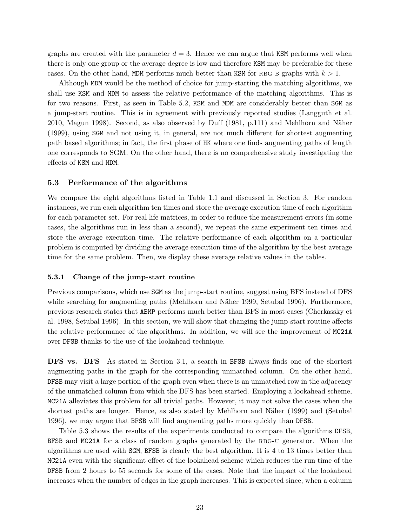graphs are created with the parameter  $d = 3$ . Hence we can argue that KSM performs well when there is only one group or the average degree is low and therefore KSM may be preferable for these cases. On the other hand, MDM performs much better than KSM for RBG-B graphs with  $k > 1$ .

Although MDM would be the method of choice for jump-starting the matching algorithms, we shall use KSM and MDM to assess the relative performance of the matching algorithms. This is for two reasons. First, as seen in Table 5.2, KSM and MDM are considerably better than SGM as a jump-start routine. This is in agreement with previously reported studies (Langguth et al. 2010, Magun 1998). Second, as also observed by Duff (1981, p.111) and Mehlhorn and Näher (1999), using SGM and not using it, in general, are not much different for shortest augmenting path based algorithms; in fact, the first phase of HK where one finds augmenting paths of length one corresponds to SGM. On the other hand, there is no comprehensive study investigating the effects of KSM and MDM.

## 5.3 Performance of the algorithms

We compare the eight algorithms listed in Table 1.1 and discussed in Section 3. For random instances, we run each algorithm ten times and store the average execution time of each algorithm for each parameter set. For real life matrices, in order to reduce the measurement errors (in some cases, the algorithms run in less than a second), we repeat the same experiment ten times and store the average execution time. The relative performance of each algorithm on a particular problem is computed by dividing the average execution time of the algorithm by the best average time for the same problem. Then, we display these average relative values in the tables.

## 5.3.1 Change of the jump-start routine

Previous comparisons, which use SGM as the jump-start routine, suggest using BFS instead of DFS while searching for augmenting paths (Mehlhorn and Näher 1999, Setubal 1996). Furthermore, previous research states that ABMP performs much better than BFS in most cases (Cherkassky et al. 1998, Setubal 1996). In this section, we will show that changing the jump-start routine affects the relative performance of the algorithms. In addition, we will see the improvement of MC21A over DFSB thanks to the use of the lookahead technique.

DFS vs. BFS As stated in Section 3.1, a search in BFSB always finds one of the shortest augmenting paths in the graph for the corresponding unmatched column. On the other hand, DFSB may visit a large portion of the graph even when there is an unmatched row in the adjacency of the unmatched column from which the DFS has been started. Employing a lookahead scheme, MC21A alleviates this problem for all trivial paths. However, it may not solve the cases when the shortest paths are longer. Hence, as also stated by Mehlhorn and Näher (1999) and (Setubal 1996), we may argue that BFSB will find augmenting paths more quickly than DFSB.

Table 5.3 shows the results of the experiments conducted to compare the algorithms DFSB, BFSB and MC21A for a class of random graphs generated by the RBG-U generator. When the algorithms are used with SGM, BFSB is clearly the best algorithm. It is 4 to 13 times better than MC21A even with the significant effect of the lookahead scheme which reduces the run time of the DFSB from 2 hours to 55 seconds for some of the cases. Note that the impact of the lookahead increases when the number of edges in the graph increases. This is expected since, when a column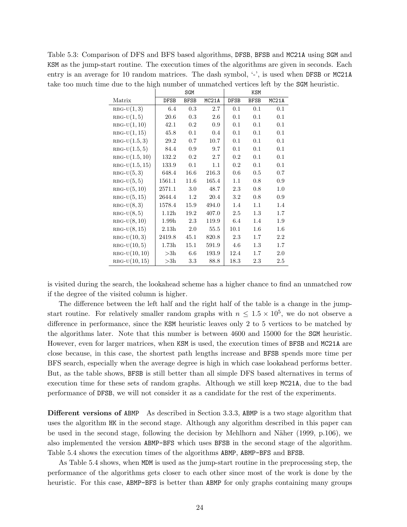Table 5.3: Comparison of DFS and BFS based algorithms, DFSB, BFSB and MC21A using SGM and KSM as the jump-start routine. The execution times of the algorithms are given in seconds. Each entry is an average for 10 random matrices. The dash symbol, '-', is used when DFSB or MC21A take too much time due to the high number of unmatched vertices left by the SGM heuristic.

|                  |                   | SGM         |                    | KSM         |             |                    |  |
|------------------|-------------------|-------------|--------------------|-------------|-------------|--------------------|--|
| Matrix           | <b>DFSB</b>       | <b>BFSB</b> | MC <sub>21</sub> A | <b>DFSB</b> | <b>BFSB</b> | MC <sub>21</sub> A |  |
| $RBG-U(1,3)$     | 6.4               | 0.3         | 2.7                | 0.1         | 0.1         | 0.1                |  |
| $RBG-U(1,5)$     | 20.6              | $0.3\,$     | 2.6                | 0.1         | 0.1         | 0.1                |  |
| $RBG-U(1,10)$    | 42.1              | $0.2\,$     | 0.9                | 0.1         | 0.1         | 0.1                |  |
| $RBG-U(1, 15)$   | 45.8              | 0.1         | 0.4                | 0.1         | 0.1         | 0.1                |  |
| $RBG-U(1.5,3)$   | 29.2              | 0.7         | 10.7               | 0.1         | 0.1         | 0.1                |  |
| $RBG-U(1.5, 5)$  | 84.4              | 0.9         | 9.7                | 0.1         | 0.1         | 0.1                |  |
| $RBG-U(1.5, 10)$ | 132.2             | $0.2\,$     | 2.7                | 0.2         | 0.1         | 0.1                |  |
| $RBG-U(1.5, 15)$ | 133.9             | 0.1         | 1.1                | 0.2         | 0.1         | 0.1                |  |
| $RBG-U(5,3)$     | 648.4             | 16.6        | 216.3              | 0.6         | 0.5         | $0.7\,$            |  |
| $RBG-U(5,5)$     | 1561.1            | 11.6        | 165.4              | 1.1         | 0.8         | 0.9                |  |
| $RBG-U(5, 10)$   | 2571.1            | 3.0         | 48.7               | 2.3         | 0.8         | 1.0                |  |
| $RBG-U(5, 15)$   | 2644.4            | 1.2         | 20.4               | 3.2         | 0.8         | 0.9                |  |
| $RBG-U(8,3)$     | 1578.4            | 15.9        | 494.0              | 1.4         | 1.1         | 1.4                |  |
| $RBG-U(8,5)$     | 1.12h             | 19.2        | 407.0              | 2.5         | 1.3         | 1.7                |  |
| $RBG-U(8, 10)$   | 1.99 <sub>h</sub> | 2.3         | 119.9              | 6.4         | 1.4         | 1.9                |  |
| $RBG-U(8, 15)$   | 2.13 <sub>h</sub> | $2.0\,$     | $55.5\,$           | 10.1        | $1.6\,$     | 1.6                |  |
| $RBG-U(10,3)$    | 2419.8            | 45.1        | 820.8              | 2.3         | $1.7\,$     | $2.2\,$            |  |
| $RBG-U(10,5)$    | 1.73h             | 15.1        | 591.9              | 4.6         | $1.3\,$     | 1.7                |  |
| $RBG-U(10, 10)$  | >3h               | 6.6         | 193.9              | 12.4        | 1.7         | $2.0\,$            |  |
| $RBG-U(10, 15)$  | >3h               | 3.3         | 88.8               | 18.3        | 2.3         | $2.5\,$            |  |

is visited during the search, the lookahead scheme has a higher chance to find an unmatched row if the degree of the visited column is higher.

The difference between the left half and the right half of the table is a change in the jumpstart routine. For relatively smaller random graphs with  $n \leq 1.5 \times 10^5$ , we do not observe a difference in performance, since the KSM heuristic leaves only 2 to 5 vertices to be matched by the algorithms later. Note that this number is between 4600 and 15000 for the SGM heuristic. However, even for larger matrices, when KSM is used, the execution times of BFSB and MC21A are close because, in this case, the shortest path lengths increase and BFSB spends more time per BFS search, especially when the average degree is high in which case lookahead performs better. But, as the table shows, BFSB is still better than all simple DFS based alternatives in terms of execution time for these sets of random graphs. Although we still keep MC21A, due to the bad performance of DFSB, we will not consider it as a candidate for the rest of the experiments.

Different versions of ABMP As described in Section 3.3.3, ABMP is a two stage algorithm that uses the algorithm HK in the second stage. Although any algorithm described in this paper can be used in the second stage, following the decision by Mehlhorn and N¨aher (1999, p.106), we also implemented the version ABMP-BFS which uses BFSB in the second stage of the algorithm. Table 5.4 shows the execution times of the algorithms ABMP, ABMP-BFS and BFSB.

As Table 5.4 shows, when MDM is used as the jump-start routine in the preprocessing step, the performance of the algorithms gets closer to each other since most of the work is done by the heuristic. For this case, ABMP-BFS is better than ABMP for only graphs containing many groups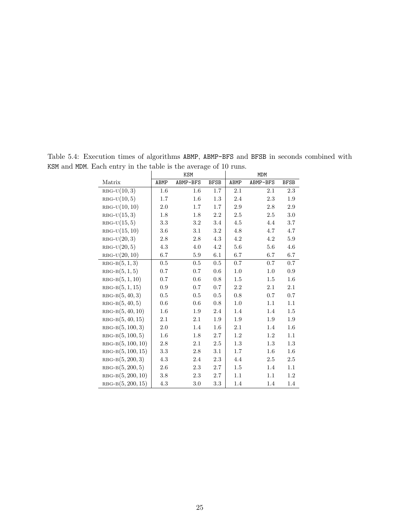|                     |         | KSM      |             | MDM     |          |             |  |  |
|---------------------|---------|----------|-------------|---------|----------|-------------|--|--|
| Matrix              | ABMP    | ABMP-BFS | <b>BFSB</b> | ABMP    | ABMP-BFS | <b>BFSB</b> |  |  |
| $RBG-U(10,3)$       | $1.6\,$ | $1.6\,$  | 1.7         | $2.1\,$ | $2.1\,$  | $2.3\,$     |  |  |
| $RBG-U(10,5)$       | 1.7     | 1.6      | 1.3         | 2.4     | 2.3      | 1.9         |  |  |
| $RBG-U(10, 10)$     | $2.0\,$ | 1.7      | 1.7         | 2.9     | 2.8      | $2.9\,$     |  |  |
| $RBG-U(15,3)$       | 1.8     | 1.8      | $2.2\,$     | 2.5     | 2.5      | $3.0\,$     |  |  |
| $RBG-U(15,5)$       | $3.3\,$ | $3.2\,$  | 3.4         | 4.5     | 4.4      | $3.7\,$     |  |  |
| $RBG-U(15, 10)$     | $3.6\,$ | $3.1\,$  | 3.2         | 4.8     | 4.7      | 4.7         |  |  |
| $RBG-U(20,3)$       | $2.8\,$ | $2.8\,$  | 4.3         | 4.2     | 4.2      | 5.9         |  |  |
| $RBG-U(20,5)$       | 4.3     | 4.0      | $4.2\,$     | $5.6\,$ | 5.6      | $4.6\,$     |  |  |
| $RBG-U(20, 10)$     | $6.7\,$ | 5.9      | $6.1\,$     | 6.7     | 6.7      | 6.7         |  |  |
| $RBG-B(5,1,3)$      | $0.5\,$ | 0.5      | $0.5\,$     | 0.7     | 0.7      | 0.7         |  |  |
| $RBG-B(5,1,5)$      | 0.7     | 0.7      | 0.6         | 1.0     | 1.0      | 0.9         |  |  |
| $RBG-B(5,1,10)$     | $0.7\,$ | 0.6      | $0.8\,$     | 1.5     | $1.5\,$  | 1.6         |  |  |
| $RBG-B(5,1,15)$     | 0.9     | 0.7      | 0.7         | 2.2     | $2.1\,$  | 2.1         |  |  |
| $RBG-B(5, 40, 3)$   | $0.5\,$ | $0.5\,$  | $0.5\,$     | $0.8\,$ | 0.7      | $0.7\,$     |  |  |
| $RBG-B(5, 40, 5)$   | 0.6     | 0.6      | 0.8         | 1.0     | 1.1      | $1.1\,$     |  |  |
| $RBG-B(5, 40, 10)$  | 1.6     | 1.9      | 2.4         | 1.4     | 1.4      | $1.5\,$     |  |  |
| $RBG-B(5, 40, 15)$  | $2.1\,$ | 2.1      | 1.9         | 1.9     | $1.9\,$  | $1.9\,$     |  |  |
| $RBG-B(5, 100, 3)$  | $2.0\,$ | 1.4      | 1.6         | $2.1\,$ | 1.4      | 1.6         |  |  |
| $RBG-B(5, 100, 5)$  | $1.6\,$ | 1.8      | $2.7\,$     | $1.2\,$ | $1.2\,$  | $1.1\,$     |  |  |
| $RBG-B(5, 100, 10)$ | 2.8     | $2.1\,$  | 2.5         | 1.3     | $1.3\,$  | 1.3         |  |  |
| $RBG-B(5, 100, 15)$ | $3.3\,$ | 2.8      | 3.1         | 1.7     | $1.6\,$  | $1.6\,$     |  |  |
| $RBG-B(5, 200, 3)$  | $4.3\,$ | 2.4      | $2.3\,$     | 4.4     | 2.5      | $2.5\,$     |  |  |
| $RBG-B(5, 200, 5)$  | $2.6\,$ | $2.3\,$  | $2.7\,$     | $1.5\,$ | 1.4      | $1.1\,$     |  |  |
| $RBG-B(5, 200, 10)$ | 3.8     | 2.3      | $2.7\,$     | 1.1     | 1.1      | 1.2         |  |  |
| $RBG-B(5, 200, 15)$ | 4.3     | 3.0      | 3.3         | 1.4     | 1.4      | 1.4         |  |  |

Table 5.4: Execution times of algorithms ABMP, ABMP-BFS and BFSB in seconds combined with KSM and MDM. Each entry in the table is the average of 10 runs.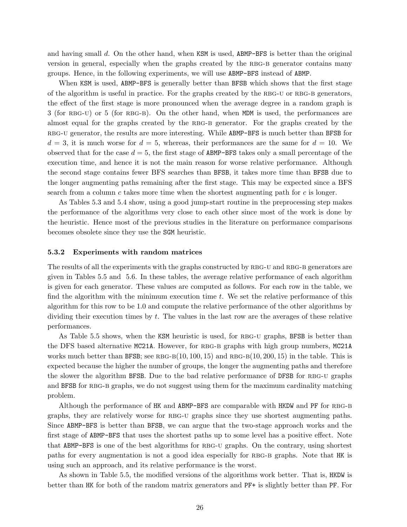and having small d. On the other hand, when  $KSM$  is used,  $ABMP-BFS$  is better than the original version in general, especially when the graphs created by the RBG-B generator contains many groups. Hence, in the following experiments, we will use ABMP-BFS instead of ABMP.

When KSM is used, ABMP-BFS is generally better than BFSB which shows that the first stage of the algorithm is useful in practice. For the graphs created by the RBG-U or RBG-B generators, the effect of the first stage is more pronounced when the average degree in a random graph is 3 (for RBG-U) or 5 (for RBG-B). On the other hand, when MDM is used, the performances are almost equal for the graphs created by the RBG-B generator. For the graphs created by the RBG-U generator, the results are more interesting. While ABMP-BFS is much better than BFSB for  $d = 3$ , it is much worse for  $d = 5$ , whereas, their performances are the same for  $d = 10$ . We observed that for the case  $d = 5$ , the first stage of ABMP-BFS takes only a small percentage of the execution time, and hence it is not the main reason for worse relative performance. Although the second stage contains fewer BFS searches than BFSB, it takes more time than BFSB due to the longer augmenting paths remaining after the first stage. This may be expected since a BFS search from a column c takes more time when the shortest augmenting path for c is longer.

As Tables 5.3 and 5.4 show, using a good jump-start routine in the preprocessing step makes the performance of the algorithms very close to each other since most of the work is done by the heuristic. Hence most of the previous studies in the literature on performance comparisons becomes obsolete since they use the SGM heuristic.

#### 5.3.2 Experiments with random matrices

The results of all the experiments with the graphs constructed by RBG-U and RBG-B generators are given in Tables 5.5 and 5.6. In these tables, the average relative performance of each algorithm is given for each generator. These values are computed as follows. For each row in the table, we find the algorithm with the minimum execution time t. We set the relative performance of this algorithm for this row to be 1.0 and compute the relative performance of the other algorithms by dividing their execution times by  $t$ . The values in the last row are the averages of these relative performances.

As Table 5.5 shows, when the KSM heuristic is used, for RBG-U graphs, BFSB is better than the DFS based alternative MC21A. However, for RBG-B graphs with high group numbers, MC21A works much better than BFSB; see RBG-B $(10, 100, 15)$  and RBG-B $(10, 200, 15)$  in the table. This is expected because the higher the number of groups, the longer the augmenting paths and therefore the slower the algorithm BFSB. Due to the bad relative performance of DFSB for RBG-U graphs and BFSB for RBG-B graphs, we do not suggest using them for the maximum cardinality matching problem.

Although the performance of HK and ABMP-BFS are comparable with HKDW and PF for RBG-B graphs, they are relatively worse for RBG-U graphs since they use shortest augmenting paths. Since ABMP-BFS is better than BFSB, we can argue that the two-stage approach works and the first stage of ABMP-BFS that uses the shortest paths up to some level has a positive effect. Note that ABMP-BFS is one of the best algorithms for RBG-U graphs. On the contrary, using shortest paths for every augmentation is not a good idea especially for RBG-B graphs. Note that HK is using such an approach, and its relative performance is the worst.

As shown in Table 5.5, the modified versions of the algorithms work better. That is, HKDW is better than HK for both of the random matrix generators and PF+ is slightly better than PF. For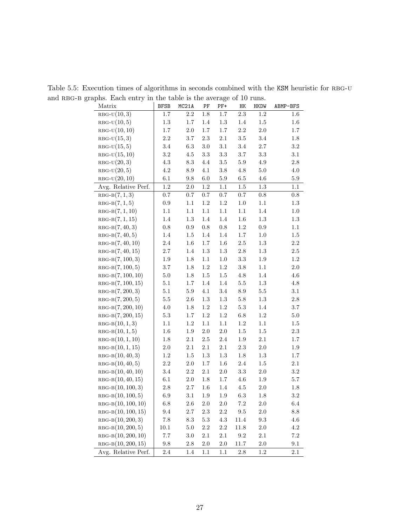| Matrix               | <b>BFSB</b> | $\frac{1}{2}$ and $\frac{1}{2}$ and $\frac{1}{2}$ and $\frac{1}{2}$ and $\frac{1}{2}$ and $\frac{1}{2}$ and $\frac{1}{2}$ and $\frac{1}{2}$ and $\frac{1}{2}$ and $\frac{1}{2}$ and $\frac{1}{2}$ and $\frac{1}{2}$ and $\frac{1}{2}$ and $\frac{1}{2}$ and $\frac{1}{2}$ and $\frac{1}{2}$ a<br>MC21A | PF      | $PF+$   | HK              | HKDW      | ABMP-BFS  |
|----------------------|-------------|--------------------------------------------------------------------------------------------------------------------------------------------------------------------------------------------------------------------------------------------------------------------------------------------------------|---------|---------|-----------------|-----------|-----------|
| $RBG-U(10,3)$        | $1.7\,$     | $2.2\,$                                                                                                                                                                                                                                                                                                | $1.8\,$ | $1.7\,$ | $2.3\,$         | $1.2\,$   | $1.6\,$   |
| $RBG-U(10,5)$        | 1.3         | 1.7                                                                                                                                                                                                                                                                                                    | $1.4\,$ | 1.3     | 1.4             | $1.5\,$   | $1.6\,$   |
| $RBG-U(10,10)$       | 1.7         | $2.0\,$                                                                                                                                                                                                                                                                                                | $1.7\,$ | 1.7     | $2.2\,$         | $2.0\,$   | $1.7\,$   |
| $RBG-U(15,3)$        | $2.2\,$     | $3.7\,$                                                                                                                                                                                                                                                                                                | $2.3\,$ | $2.1\,$ | $3.5\,$         | $3.4\,$   | $1.8\,$   |
| $RBG-U(15,5)$        | $3.4\,$     | 6.3                                                                                                                                                                                                                                                                                                    | $3.0\,$ | $3.1\,$ | $3.4\,$         | $2.7\,$   | $\!3.2\!$ |
| $RBG-U(15,10)$       | $3.2\,$     | 4.5                                                                                                                                                                                                                                                                                                    | 3.3     | $3.3\,$ | 3.7             | 3.3       | $3.1\,$   |
| $RBG-U(20,3)$        | 4.3         | $\!\!\!\!\!8.3$                                                                                                                                                                                                                                                                                        | $4.4\,$ | $3.5\,$ | $5.9\,$         | $4.9\,$   | $2.8\,$   |
| $RBG-U(20,5)$        | 4.2         | $\!\!\!\!\!8.9$                                                                                                                                                                                                                                                                                        | $4.1\,$ | $3.8\,$ | $4.8\,$         | $5.0\,$   | $4.0\,$   |
| $RBG-U(20,10)$       | $6.1\,$     | $\,9.8$                                                                                                                                                                                                                                                                                                | $6.0\,$ | $5.9\,$ | $6.5\,$         | $4.6\,$   | $5.9\,$   |
| Avg. Relative Perf.  | $1.2\,$     | $2.0\,$                                                                                                                                                                                                                                                                                                | $1.2\,$ | $1.1\,$ | $1.5\,$         | $1.3\,$   | 1.1       |
| $RBG-B(7,1,3)$       | 0.7         | $0.7\,$                                                                                                                                                                                                                                                                                                | $0.7\,$ | $0.7\,$ | $0.7\,$         | $0.8\,$   | $0.8\,$   |
| $RBG-B(7,1,5)$       | $0.9\,$     | $1.1\,$                                                                                                                                                                                                                                                                                                | $1.2\,$ | $1.2\,$ | $1.0\,$         | $1.1\,$   | $1.3\,$   |
| $RBG-B(7,1,10)$      | $1.1\,$     | $1.1\,$                                                                                                                                                                                                                                                                                                | $1.1\,$ | $1.1\,$ | $1.1\,$         | $1.4\,$   | $1.0\,$   |
| $RBG-B(7,1,15)$      | 1.4         | $1.3\,$                                                                                                                                                                                                                                                                                                | $1.4\,$ | $1.4\,$ | $1.6\,$         | $1.3\,$   | $1.3\,$   |
| $RBG-B(7, 40, 3)$    | $0.8\,$     | $\rm 0.9$                                                                                                                                                                                                                                                                                              | $0.8\,$ | $0.8\,$ | $1.2\,$         | $\rm 0.9$ | $1.1\,$   |
| $RBG-B(7, 40, 5)$    | 1.4         | $1.5\,$                                                                                                                                                                                                                                                                                                | 1.4     | $1.4\,$ | $1.7\,$         | $1.0\,$   | $1.5\,$   |
| $RBG-B(7, 40, 10)$   | $2.4\,$     | $1.6\,$                                                                                                                                                                                                                                                                                                | $1.7\,$ | $1.6\,$ | $2.5\,$         | $1.3\,$   | $2.2\,$   |
| $RBG-B(7, 40, 15)$   | $2.7\,$     | $1.4\,$                                                                                                                                                                                                                                                                                                | $1.3\,$ | $1.3\,$ | $2.8\,$         | 1.3       | $2.5\,$   |
| $RBG-B(7, 100, 3)$   | 1.9         | $1.8\,$                                                                                                                                                                                                                                                                                                | $1.1\,$ | $1.0\,$ | $\!3.3$         | 1.9       | $1.2\,$   |
| $RBG-B(7, 100, 5)$   | 3.7         | $1.8\,$                                                                                                                                                                                                                                                                                                | 1.2     | 1.2     | $3.8\,$         | $1.1\,$   | $2.0\,$   |
| $RBG-B(7, 100, 10)$  | $5.0\,$     | $1.8\,$                                                                                                                                                                                                                                                                                                | $1.5\,$ | $1.5\,$ | $4.8\,$         | $1.4\,$   | $4.6\,$   |
| $RBG-B(7, 100, 15)$  | $5.1\,$     | 1.7                                                                                                                                                                                                                                                                                                    | $1.4\,$ | $1.4\,$ | $5.5\,$         | 1.3       | $4.8\,$   |
| $RBG-B(7, 200, 3)$   | 5.1         | $5.9\,$                                                                                                                                                                                                                                                                                                | $4.1\,$ | $3.4\,$ | $\!\!\!\!\!8.9$ | $5.5\,$   | $3.1\,$   |
| $RBG-B(7, 200, 5)$   | $5.5\,$     | $2.6\,$                                                                                                                                                                                                                                                                                                | $1.3\,$ | $1.3\,$ | $5.8\,$         | $1.3\,$   | $2.8\,$   |
| $RBG-B(7, 200, 10)$  | 4.0         | $1.8\,$                                                                                                                                                                                                                                                                                                | $1.2\,$ | 1.2     | $5.3\,$         | $1.4\,$   | $3.7\,$   |
| $RBG-B(7, 200, 15)$  | $5.3\,$     | 1.7                                                                                                                                                                                                                                                                                                    | 1.2     | 1.2     | $6.8\,$         | $1.2\,$   | $5.0\,$   |
| $RBG-B(10, 1, 3)$    | $1.1\,$     | $1.2\,$                                                                                                                                                                                                                                                                                                | $1.1\,$ | $1.1\,$ | $1.2\,$         | $1.1\,$   | $1.5\,$   |
| $RBG-B(10, 1, 5)$    | $1.6\,$     | $1.9\,$                                                                                                                                                                                                                                                                                                | $2.0\,$ | $2.0\,$ | $1.5\,$         | $1.5\,$   | $2.3\,$   |
| $RBG-B(10, 1, 10)$   | $1.8\,$     | $2.1\,$                                                                                                                                                                                                                                                                                                | $2.5\,$ | $2.4\,$ | $1.9\,$         | $2.1\,$   | $1.7\,$   |
| $RBG-B(10, 1, 15)$   | 2.0         | $2.1\,$                                                                                                                                                                                                                                                                                                | $2.1\,$ | $2.1\,$ | $2.3\,$         | $2.0\,$   | $1.9\,$   |
| $RBG-B(10, 40, 3)$   | 1.2         | $1.5\,$                                                                                                                                                                                                                                                                                                | $1.3\,$ | $1.3\,$ | $1.8\,$         | $1.3\,$   | $1.7\,$   |
| $RBG-B(10, 40, 5)$   | $2.2\,$     | $2.0\,$                                                                                                                                                                                                                                                                                                | $1.7\,$ | $1.6\,$ | $2.4\,$         | $1.5\,$   | $2.1\,$   |
| $RBG-B(10, 40, 10)$  | $3.4\,$     | $2.2\,$                                                                                                                                                                                                                                                                                                | $2.1\,$ | $2.0\,$ | $\!3.3\!$       | $2.0\,$   | $3.2\,$   |
| $RBG-B(10, 40, 15)$  | $6.1\,$     | $2.0\,$                                                                                                                                                                                                                                                                                                | $1.8\,$ | 1.7     | $4.6\,$         | $1.9\,$   | $5.7\,$   |
| $RBG-B(10, 100, 3)$  | $2.8\,$     | $2.7\,$                                                                                                                                                                                                                                                                                                | $1.6\,$ | $1.4\,$ | $4.5\,$         | $2.0\,$   | $1.8\,$   |
| $RBG-B(10, 100, 5)$  | 6.9         | 3.1                                                                                                                                                                                                                                                                                                    | $1.9\,$ | 1.9     | $6.3\,$         | 1.8       | $3.2\,$   |
| $RBG-B(10, 100, 10)$ | $6.8\,$     | 2.6                                                                                                                                                                                                                                                                                                    | 2.0     | $2.0\,$ | $7.2\,$         | $2.0\,$   | $6.4\,$   |
| $RBG-B(10, 100, 15)$ | $\ \, 9.4$  | $2.7\,$                                                                                                                                                                                                                                                                                                | 2.3     | $2.2\,$ | $\ \, 9.5$      | $2.0\,$   | $8.8\,$   |
| $RBG-B(10, 200, 3)$  | $7.8\,$     | $\!\!\!\!\!8.3$                                                                                                                                                                                                                                                                                        | $5.3\,$ | $4.3\,$ | 11.4            | $9.3\,$   | $4.6\,$   |
| $RBG-B(10, 200, 5)$  | $10.1\,$    | $5.0\,$                                                                                                                                                                                                                                                                                                | $2.2\,$ | $2.2\,$ | 11.8            | $2.0\,$   | $4.2\,$   |
| $RBG-B(10, 200, 10)$ | 7.7         | $3.0\,$                                                                                                                                                                                                                                                                                                | $2.1\,$ | $2.1\,$ | $\ \, 9.2$      | $2.1\,$   | $7.2\,$   |
| $RBG-B(10, 200, 15)$ | $\,9.8$     | $2.8\,$                                                                                                                                                                                                                                                                                                | $2.0\,$ | $2.0\,$ | 11.7            | $2.0\,$   | $9.1\,$   |
| Avg. Relative Perf.  | $2.4\,$     | 1.4                                                                                                                                                                                                                                                                                                    | 1.1     | 1.1     | $2.8\,$         | $1.2\,$   | 2.1       |

Table 5.5: Execution times of algorithms in seconds combined with the KSM heuristic for RBG-U and RBG-B graphs. Each entry in the table is the average of 10 runs.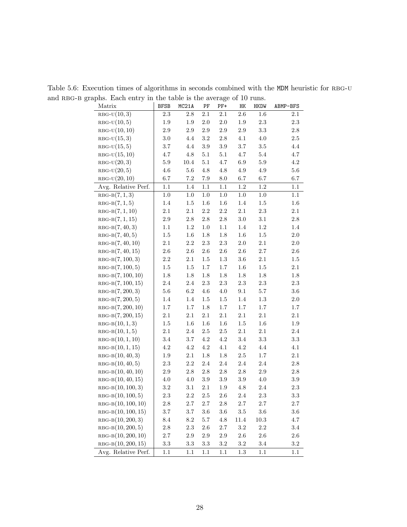| $v_{\rm{P}}$<br>Matrix | <b>BFSB</b>     | $\frac{1}{2}$ and $\frac{1}{2}$ and $\frac{1}{2}$ and $\frac{1}{2}$ and $\frac{1}{2}$ and $\frac{1}{2}$ and $\frac{1}{2}$ and $\frac{1}{2}$ and $\frac{1}{2}$ and $\frac{1}{2}$ and $\frac{1}{2}$ and $\frac{1}{2}$ and $\frac{1}{2}$ and $\frac{1}{2}$ and $\frac{1}{2}$ and $\frac{1}{2}$ a<br>MC21A | PF      | $PF+$   | HK      | HKDW     | ABMP-BFS |
|------------------------|-----------------|--------------------------------------------------------------------------------------------------------------------------------------------------------------------------------------------------------------------------------------------------------------------------------------------------------|---------|---------|---------|----------|----------|
| $RBG-U(10,3)$          | $2.3\,$         | $2.8\,$                                                                                                                                                                                                                                                                                                | $2.1\,$ | 2.1     | $2.6\,$ | $1.6\,$  | 2.1      |
| $RBG-U(10,5)$          | 1.9             | 1.9                                                                                                                                                                                                                                                                                                    | $2.0\,$ | $2.0\,$ | $1.9\,$ | $2.3\,$  | $2.3\,$  |
| $RBG-U(10,10)$         | $2.9\,$         | $2.9\,$                                                                                                                                                                                                                                                                                                | $2.9\,$ | $2.9\,$ | $2.9\,$ | $3.3\,$  | $2.8\,$  |
| $RBG-U(15,3)$          | $3.0\,$         | 4.4                                                                                                                                                                                                                                                                                                    | $3.2\,$ | $2.8\,$ | 4.1     | $4.0\,$  | $2.5\,$  |
| $RBG-U(15,5)$          | 3.7             | 4.4                                                                                                                                                                                                                                                                                                    | $3.9\,$ | $3.9\,$ | 3.7     | $3.5\,$  | $4.4\,$  |
| $RBG-U(15,10)$         | 4.7             | 4.8                                                                                                                                                                                                                                                                                                    | $5.1\,$ | 5.1     | $4.7\,$ | $5.4\,$  | $4.7\,$  |
| $RBG-U(20,3)$          | $5.9\,$         | $10.4\,$                                                                                                                                                                                                                                                                                               | $5.1\,$ | 4.7     | 6.9     | $5.9\,$  | $4.2\,$  |
| $RBG-U(20,5)$          | 4.6             | $5.6\,$                                                                                                                                                                                                                                                                                                | $4.8\,$ | $4.8\,$ | $4.9\,$ | 4.9      | $5.6\,$  |
| $RBG-U(20,10)$         | $6.7\,$         | $7.2\,$                                                                                                                                                                                                                                                                                                | $7.9\,$ | 8.0     | 6.7     | 6.7      | $6.7\,$  |
| Avg. Relative Perf.    | $1.1\,$         | $1.4\,$                                                                                                                                                                                                                                                                                                | $1.1\,$ | $1.1\,$ | $1.2\,$ | $1.2\,$  | 1.1      |
| $RBG-B(7,1,3)$         | $1.0\,$         | $1.0\,$                                                                                                                                                                                                                                                                                                | $1.0\,$ | $1.0\,$ | $1.0\,$ | $1.0\,$  | $1.1\,$  |
| $RBG-B(7,1,5)$         | 1.4             | $1.5\,$                                                                                                                                                                                                                                                                                                | $1.6\,$ | $1.6\,$ | $1.4\,$ | 1.5      | $1.6\,$  |
| $RBG-B(7,1,10)$        | 2.1             | $2.1\,$                                                                                                                                                                                                                                                                                                | $2.2\,$ | $2.2\,$ | 2.1     | $2.3\,$  | $2.1\,$  |
| $RBG-B(7,1,15)$        | $2.9\,$         | $2.8\,$                                                                                                                                                                                                                                                                                                | $2.8\,$ | $2.8\,$ | $3.0\,$ | $3.1\,$  | $2.8\,$  |
| $RBG-B(7, 40, 3)$      | $1.1\,$         | $1.2\,$                                                                                                                                                                                                                                                                                                | $1.0\,$ | $1.1\,$ | $1.4\,$ | $1.2\,$  | $1.4\,$  |
| $RBG-B(7, 40, 5)$      | $1.5\,$         | $1.6\,$                                                                                                                                                                                                                                                                                                | $1.8\,$ | $1.8\,$ | $1.6\,$ | $1.5\,$  | $2.0\,$  |
| $RBG-B(7, 40, 10)$     | $2.1\,$         | $2.2\,$                                                                                                                                                                                                                                                                                                | $2.3\,$ | $2.3\,$ | $2.0\,$ | $2.1\,$  | $2.0\,$  |
| $RBG-B(7, 40, 15)$     | $2.6\,$         | $2.6\,$                                                                                                                                                                                                                                                                                                | $2.6\,$ | $2.6\,$ | $2.6\,$ | $2.7\,$  | $2.6\,$  |
| $RBG-B(7, 100, 3)$     | $2.2\,$         | $2.1\,$                                                                                                                                                                                                                                                                                                | $1.5\,$ | $1.3\,$ | $3.6\,$ | $2.1\,$  | $1.5\,$  |
| $RBG-B(7, 100, 5)$     | 1.5             | $1.5\,$                                                                                                                                                                                                                                                                                                | $1.7\,$ | $1.7\,$ | $1.6\,$ | 1.5      | $2.1\,$  |
| $RBG-B(7, 100, 10)$    | 1.8             | $1.8\,$                                                                                                                                                                                                                                                                                                | $1.8\,$ | $1.8\,$ | $1.8\,$ | 1.8      | $1.8\,$  |
| $RBG-B(7, 100, 15)$    | $2.4\,$         | $2.4\,$                                                                                                                                                                                                                                                                                                | 2.3     | 2.3     | $2.3\,$ | $2.3\,$  | $2.3\,$  |
| $RBG-B(7, 200, 3)$     | $5.6\,$         | $6.2\,$                                                                                                                                                                                                                                                                                                | $4.6\,$ | $4.0\,$ | $9.1\,$ | $5.7\,$  | $3.6\,$  |
| $RBG-B(7, 200, 5)$     | 1.4             | 1.4                                                                                                                                                                                                                                                                                                    | $1.5\,$ | $1.5\,$ | 1.4     | $1.3\,$  | $2.0\,$  |
| $RBG-B(7, 200, 10)$    | 1.7             | $1.7\,$                                                                                                                                                                                                                                                                                                | $1.8\,$ | 1.7     | $1.7\,$ | $1.7\,$  | $1.7\,$  |
| $RBG-B(7, 200, 15)$    | $2.1\,$         | $2.1\,$                                                                                                                                                                                                                                                                                                | $2.1\,$ | $2.1\,$ | $2.1\,$ | $2.1\,$  | 2.1      |
| $RBG-B(10, 1, 3)$      | 1.5             | $1.6\,$                                                                                                                                                                                                                                                                                                | $1.6\,$ | $1.6\,$ | $1.5\,$ | $1.6\,$  | $1.9\,$  |
| $RBG-B(10, 1, 5)$      | $2.1\,$         | $2.4\,$                                                                                                                                                                                                                                                                                                | $2.5\,$ | $2.5\,$ | 2.1     | $2.1\,$  | $2.4\,$  |
| $RBG-B(10, 1, 10)$     | $3.4\,$         | $3.7\,$                                                                                                                                                                                                                                                                                                | 4.2     | 4.2     | $3.4\,$ | 3.3      | $3.3\,$  |
| $RBG-B(10, 1, 15)$     | 4.2             | $4.2\,$                                                                                                                                                                                                                                                                                                | 4.2     | 4.1     | 4.2     | $4.4\,$  | 4.1      |
| $RBG-B(10, 40, 3)$     | 1.9             | $2.1\,$                                                                                                                                                                                                                                                                                                | $1.8\,$ | $1.8\,$ | $2.5\,$ | 1.7      | $2.1\,$  |
| $RBG-B(10, 40, 5)$     | 2.3             | $2.2\,$                                                                                                                                                                                                                                                                                                | $2.4\,$ | $2.4\,$ | $2.4\,$ | $2.4\,$  | $2.8\,$  |
| $RBG-B(10, 40, 10)$    | $2.9\,$         | $2.8\,$                                                                                                                                                                                                                                                                                                | $2.8\,$ | $2.8\,$ | $2.8\,$ | $2.9\,$  | $2.8\,$  |
| $RBG-B(10, 40, 15)$    | $4.0\,$         | $4.0\,$                                                                                                                                                                                                                                                                                                | $3.9\,$ | $3.9\,$ | $3.9\,$ | $4.0\,$  | $3.9\,$  |
| $RBG-B(10, 100, 3)$    | $3.2\,$         | $3.1\,$                                                                                                                                                                                                                                                                                                | $2.1\,$ | $1.9\,$ | $4.8\,$ | $2.4\,$  | $2.3\,$  |
| $RBG-B(10, 100, 5)$    | 2.3             | 2.2                                                                                                                                                                                                                                                                                                    | $2.5\,$ | $2.6\,$ | $2.4\,$ | $2.3\,$  | 3.3      |
| $RBG-B(10, 100, 10)$   | 2.8             | $2.7\,$                                                                                                                                                                                                                                                                                                | $2.7\,$ | 2.8     | $2.7\,$ | $2.7\,$  | $2.7\,$  |
| $RBG-B(10, 100, 15)$   | $3.7\,$         | $3.7\,$                                                                                                                                                                                                                                                                                                | $3.6\,$ | $3.6\,$ | $3.5\,$ | $3.6\,$  | $3.6\,$  |
| $RBG-B(10, 200, 3)$    | $\!\!\!\!\!8.4$ | $8.2\,$                                                                                                                                                                                                                                                                                                | $5.7\,$ | $4.8\,$ | 11.4    | $10.3\,$ | $4.7\,$  |
| $RBG-B(10, 200, 5)$    | $2.8\,$         | $2.3\,$                                                                                                                                                                                                                                                                                                | $2.6\,$ | $2.7\,$ | $3.2\,$ | $2.2\,$  | $3.4\,$  |
| $RBG-B(10, 200, 10)$   | $2.7\,$         | $2.9\,$                                                                                                                                                                                                                                                                                                | $2.9\,$ | $2.9\,$ | $2.6\,$ | $2.6\,$  | $2.6\,$  |
| $RBG-B(10, 200, 15)$   | $3.3\,$         | $3.3\,$                                                                                                                                                                                                                                                                                                | 3.3     | $3.2\,$ | $3.2\,$ | $3.4\,$  | $3.2\,$  |
| Avg. Relative Perf.    | 1.1             | 1.1                                                                                                                                                                                                                                                                                                    | 1.1     | 1.1     | $1.3\,$ | 1.1      | 1.1      |

Table 5.6: Execution times of algorithms in seconds combined with the MDM heuristic for RBG-U and RBG-B graphs. Each entry in the table is the average of 10 runs.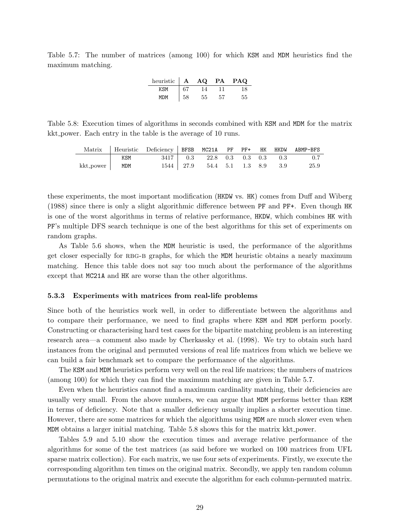Table 5.7: The number of matrices (among 100) for which KSM and MDM heuristics find the maximum matching.

| heuristic | $\mathbf{A}$ | AQ             | PA | <b>PAQ</b> |
|-----------|--------------|----------------|----|------------|
| KSM       | 67           | $\overline{A}$ |    |            |
| MDM       | 58           | 55             | 57 | 55         |

Table 5.8: Execution times of algorithms in seconds combined with KSM and MDM for the matrix kkt power. Each entry in the table is the average of 10 runs.

|                 |     | Matrix Heuristic Deficiency BFSB MC21A PF PF+ HK HKDW ABMP-BFS |                                                 |  |  |      |
|-----------------|-----|----------------------------------------------------------------|-------------------------------------------------|--|--|------|
|                 | KSM |                                                                | $3417$   0.3 22.8 0.3 0.3 0.3 0.3               |  |  | 0.7  |
| $kkt-power$ MDM |     |                                                                | 1544   27.9    54.4    5.1    1.3    8.9    3.9 |  |  | 25.9 |

these experiments, the most important modification (HKDW vs. HK) comes from Duff and Wiberg (1988) since there is only a slight algorithmic difference between PF and PF+. Even though HK is one of the worst algorithms in terms of relative performance, HKDW, which combines HK with PF's multiple DFS search technique is one of the best algorithms for this set of experiments on random graphs.

As Table 5.6 shows, when the MDM heuristic is used, the performance of the algorithms get closer especially for RBG-B graphs, for which the MDM heuristic obtains a nearly maximum matching. Hence this table does not say too much about the performance of the algorithms except that MC21A and HK are worse than the other algorithms.

## 5.3.3 Experiments with matrices from real-life problems

Since both of the heuristics work well, in order to differentiate between the algorithms and to compare their performance, we need to find graphs where KSM and MDM perform poorly. Constructing or characterising hard test cases for the bipartite matching problem is an interesting research area—a comment also made by Cherkassky et al. (1998). We try to obtain such hard instances from the original and permuted versions of real life matrices from which we believe we can build a fair benchmark set to compare the performance of the algorithms.

The KSM and MDM heuristics perform very well on the real life matrices; the numbers of matrices (among 100) for which they can find the maximum matching are given in Table 5.7.

Even when the heuristics cannot find a maximum cardinality matching, their deficiencies are usually very small. From the above numbers, we can argue that MDM performs better than KSM in terms of deficiency. Note that a smaller deficiency usually implies a shorter execution time. However, there are some matrices for which the algorithms using MDM are much slower even when MDM obtains a larger initial matching. Table 5.8 shows this for the matrix kkt power.

Tables 5.9 and 5.10 show the execution times and average relative performance of the algorithms for some of the test matrices (as said before we worked on 100 matrices from UFL sparse matrix collection). For each matrix, we use four sets of experiments. Firstly, we execute the corresponding algorithm ten times on the original matrix. Secondly, we apply ten random column permutations to the original matrix and execute the algorithm for each column-permuted matrix.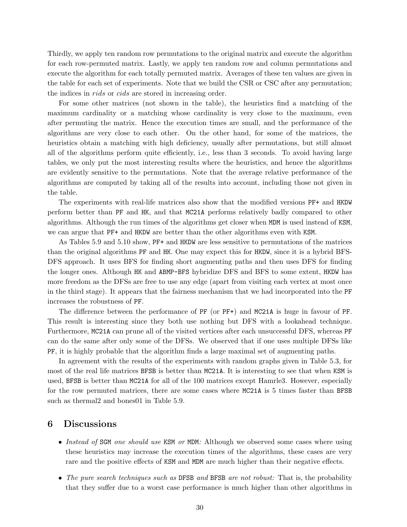Thirdly, we apply ten random row permutations to the original matrix and execute the algorithm for each row-permuted matrix. Lastly, we apply ten random row and column permutations and execute the algorithm for each totally permuted matrix. Averages of these ten values are given in the table for each set of experiments. Note that we build the CSR or CSC after any permutation; the indices in *rids* or *cids* are stored in increasing order.

For some other matrices (not shown in the table), the heuristics find a matching of the maximum cardinality or a matching whose cardinality is very close to the maximum, even after permuting the matrix. Hence the execution times are small, and the performance of the algorithms are very close to each other. On the other hand, for some of the matrices, the heuristics obtain a matching with high deficiency, usually after permutations, but still almost all of the algorithms perform quite efficiently, i.e., less than 3 seconds. To avoid having large tables, we only put the most interesting results where the heuristics, and hence the algorithms are evidently sensitive to the permutations. Note that the average relative performance of the algorithms are computed by taking all of the results into account, including those not given in the table.

The experiments with real-life matrices also show that the modified versions PF+ and HKDW perform better than PF and HK, and that MC21A performs relatively badly compared to other algorithms. Although the run times of the algorithms get closer when MDM is used instead of KSM, we can argue that PF+ and HKDW are better than the other algorithms even with KSM.

As Tables 5.9 and 5.10 show, PF+ and HKDW are less sensitive to permutations of the matrices than the original algorithms PF and HK. One may expect this for HKDW, since it is a hybrid BFS-DFS approach. It uses BFS for finding short augmenting paths and then uses DFS for finding the longer ones. Although HK and ABMP-BFS hybridize DFS and BFS to some extent, HKDW has more freedom as the DFSs are free to use any edge (apart from visiting each vertex at most once in the third stage). It appears that the fairness mechanism that we had incorporated into the PF increases the robustness of PF.

The difference between the performance of PF (or PF+) and MC21A is huge in favour of PF. This result is interesting since they both use nothing but DFS with a lookahead technique. Furthermore, MC21A can prune all of the visited vertices after each unsuccessful DFS, whereas PF can do the same after only some of the DFSs. We observed that if one uses multiple DFSs like PF, it is highly probable that the algorithm finds a large maximal set of augmenting paths.

In agreement with the results of the experiments with random graphs given in Table 5.3, for most of the real life matrices BFSB is better than MC21A. It is interesting to see that when KSM is used, BFSB is better than MC21A for all of the 100 matrices except Hamrle3. However, especially for the row permuted matrices, there are some cases where MC21A is 5 times faster than BFSB such as thermal2 and bones01 in Table 5.9.

## 6 Discussions

- Instead of SGM one should use KSM or MDM: Although we observed some cases where using these heuristics may increase the execution times of the algorithms, these cases are very rare and the positive effects of KSM and MDM are much higher than their negative effects.
- The pure search techniques such as DFSB and BFSB are not robust: That is, the probability that they suffer due to a worst case performance is much higher than other algorithms in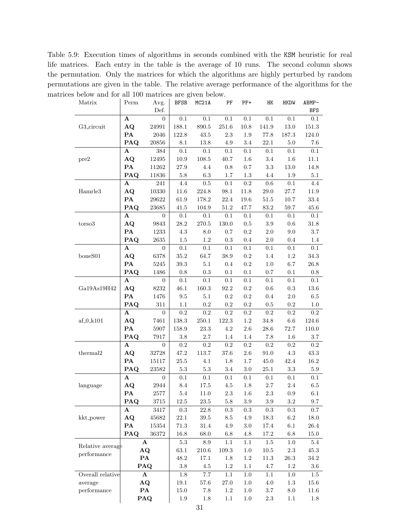Table 5.9: Execution times of algorithms in seconds combined with the KSM heuristic for real life matrices. Each entry in the table is the average of 10 runs. The second column shows the permutation. Only the matrices for which the algorithms are highly perturbed by random permutations are given in the table. The relative average performance of the algorithms for the matrices below and for all 100 matrices are given below.

| Matrix                 | Perm                   | Avg.<br>Def.         | <b>BFSB</b>     | MC <sub>21</sub> A | PF              | $PF+$     | HK        | <b>HKDW</b> | ABMP-<br>BFS |
|------------------------|------------------------|----------------------|-----------------|--------------------|-----------------|-----------|-----------|-------------|--------------|
|                        | A                      | $\overline{0}$       | 0.1             | 0.1                | 0.1             | 0.1       | 0.1       | $0.1\,$     | $0.1\,$      |
| G3_circuit             | $\bf{AQ}$              | 24991                | $188.1\,$       | $890.5\,$          | $251.6\,$       | $10.8\,$  | $141.9\,$ | $13.0\,$    | $151.3\,$    |
|                        | $\mathbf{PA}$          | 2046                 | $122.8\,$       | $43.5\,$           | $2.3\,$         | $1.9\,$   | $77.8\,$  | 187.3       | $124.0\,$    |
|                        | PAQ                    | $\boldsymbol{20856}$ | $8.1\,$         | $13.8\,$           | $4.9\,$         | $3.4\,$   | $22.1\,$  | $5.0\,$     | $7.6\,$      |
|                        | A                      | $384\,$              | $0.1\,$         | $0.1\,$            | 0.1             | $0.1\,$   | $0.1\,$   | $0.1\,$     | 0.1          |
| pre2                   | $\bf{AQ}$              | 12495                | $10.9\,$        | $108.5\,$          | 40.7            | $1.6\,$   | $3.4\,$   | $1.6\,$     | $11.1\,$     |
|                        | $\mathbf{PA}$          | 11262                | $27.9\,$        | $4.4\,$            | $0.8\,$         | $0.7\,$   | $3.3\,$   | $13.0\,$    | $14.8\,$     |
|                        | PAQ                    | 11836                | $5.8\,$         | 6.3                | 1.7             | 1.3       | $4.4\,$   | 1.9         | $5.1\,$      |
|                        | A                      | $241\,$              | 4.4             | $\rm 0.5$          | 0.1             | $\rm 0.2$ | $0.6\,$   | $0.1\,$     | $4.4\,$      |
| Hamrle <sub>3</sub>    | $\bf{AQ}$              | $10330\,$            | $11.6\,$        | $224.8\,$          | $98.1\,$        | 11.8      | $29.0\,$  | $27.7\,$    | $11.9\,$     |
|                        | ${\bf PA}$             | $\,29622\,$          | $61.9\,$        | 178.2              | 22.4            | $19.6\,$  | $51.5\,$  | $10.7\,$    | $33.4\,$     |
|                        | PAQ                    | 23685                | $41.5\,$        | 104.9              | 51.2            | 47.7      | 83.2      | 59.7        | $45.6\,$     |
|                        | A                      | $\mathbf{0}$         | $0.1\,$         | 0.1                | 0.1             | $0.1\,$   | $0.1\,$   | $0.1\,$     | $0.1\,$      |
| torso3                 | $\bf{AQ}$              | 9843                 | $28.2\,$        | $270.5\,$          | 130.0           | $0.5\,$   | $\!.9$    | $0.6\,$     | $31.8\,$     |
|                        | $\mathbf{PA}$          | 1233                 | 4.3             | $8.0\,$            | 0.7             | $\rm 0.2$ | $2.0\,$   | $\,9.0$     | $3.7\,$      |
|                        | PAQ                    | $2635\,$             | $1.5\,$         | 1.2                | 0.3             | $0.4\,$   | $2.0\,$   | $0.4\,$     | 1.4          |
|                        | $\mathbf A$            | $\overline{0}$       | $0.1\,$         | $0.1\,$            | $0.1\,$         | $0.1\,$   | 0.1       | $0.1\,$     | 0.1          |
| boneS01                | $\bf{AQ}$              | 6378                 | $35.2\,$        | 64.7               | $38.9\,$        | $\rm 0.2$ | 1.4       | 1.2         | $34.3\,$     |
|                        | $\mathbf{PA}$          | $5245\,$             | $39.3\,$        | 5.1                | $0.4\,$         | $\rm 0.2$ | $1.0\,$   | $6.7\,$     | $26.8\,$     |
|                        | PAQ                    | 1486                 | $0.8\,$         | 0.3                | $0.1\,$         | $0.1\,$   | $0.7\,$   | $0.1\,$     | $\rm 0.8$    |
|                        | $\mathbf A$            | $\overline{0}$       | $0.1\,$         | $0.1\,$            | $0.1\,$         | $0.1\,$   | 0.1       | $0.1\,$     | 0.1          |
| Ga19As19H42            | $\mathbf{A}\mathbf{Q}$ | 8232                 | $46.1\,$        | $160.3\,$          | $92.2\,$        | $\rm 0.2$ | $0.6\,$   | $\rm 0.3$   | $13.6\,$     |
|                        | $\mathbf{PA}$          | 1476                 | $\ \, 9.5$      | $5.1\,$            | $\rm 0.2$       | $\rm 0.2$ | $\rm 0.4$ | $2.0\,$     | $6.5\,$      |
|                        | PAQ                    | 311                  | $1.1\,$         | $0.2\,$            | $\rm 0.2$       | $\rm 0.2$ | $\rm 0.5$ | $\rm 0.2$   | 1.0          |
|                        | A                      | $\boldsymbol{0}$     | $\rm 0.2$       | $\rm 0.2$          | $\rm 0.2$       | $\rm 0.2$ | 0.2       | $\rm 0.2$   | $\rm 0.2$    |
| $\mathrm{af\_0\_k101}$ | $\mathbf{A}\mathbf{Q}$ | 7461                 | 138.3           | 250.1              | 122.3           | 1.2       | $34.8\,$  | 6.6         | 124.6        |
|                        | $\mathbf{PA}$          | 5907                 | 158.9           | $23.3\,$           | 4.2             | $2.6\,$   | 28.6      | $72.7\,$    | $110.0\,$    |
|                        | PAQ                    | 7917                 | 3.8             | $2.7\,$            | 1.4             | 1.4       | 7.8       | 1.6         | 3.7          |
|                        | ${\bf A}$              | $\overline{0}$       | $\rm 0.2$       | 0.2                | $\rm 0.2$       | $\rm 0.2$ | $\rm 0.2$ | $\rm 0.2$   | $\rm 0.2$    |
| thermal2               | $\bf{AQ}$              | 32728                | 47.2            | 113.7              | $37.6\,$        | $2.6\,$   | 91.0      | $4.3\,$     | $43.3\,$     |
|                        | PA                     | 15117                | $25.5\,$        | 4.1                | 1.8             | $1.7\,$   | $45.0\,$  | $42.4\,$    | $16.2\,$     |
|                        | PAQ                    | 23582                | $5.3\,$         | $5.3\,$            | 3.4             | $3.0\,$   | $25.1\,$  | $\!3.3$     | $5.9\,$      |
|                        | A                      | $\boldsymbol{0}$     | 0.1             | $0.1\,$            | 0.1             | $0.1\,$   | $0.1\,$   | $0.1\,$     | 0.1          |
| language               | $\bf{AQ}$              | $\bf 2944$           | $\!\!\!\!\!8.4$ | $17.5\,$           | $4.5\,$         | $1.8\,$   | $2.7\,$   | $2.4\,$     | $6.5\,$      |
|                        | ${\bf PA}$             | 2577                 | 5.4             | 11.0               | 2.3             | 1.6       | $2.3\,$   | 0.9         | 6.1          |
|                        | PAQ                    | $3715\,$             | $12.5\,$        | $23.5\,$           | $5.8\,$         | $3.9\,$   | $3.9\,$   | $\!3.2\!$   | $9.7\,$      |
|                        | A                      | 3417                 | $0.3\,$         | 22.8               | $\rm 0.3$       | $0.3\,$   | $\rm 0.3$ | $\rm 0.3$   | 0.7          |
| kkt_power              | $\bf{AQ}$              | 45682                | $22.1\,$        | $39.5\,$           | $\!\!\!\!\!8.5$ | $4.9\,$   | 18.3      | $6.2\,$     | $18.0\,$     |
|                        | $\mathbf{PA}$          | $15354\,$            | $71.3\,$        | $31.4\,$           | $4.9\,$         | $3.0\,$   | 17.4      | $6.1\,$     | $26.4\,$     |
|                        | PAQ                    | 36372                | $16.8\,$        | $68.0\,$           | $6.8\,$         | $4.8\,$   | 17.2      | $6.8\,$     | $15.0\,$     |
| A<br>Relative average  |                        | $5.3\,$              | $\!\!\!\!\!8.9$ | $1.1\,$            | $1.1\,$         | $1.5\,$   | $1.0\,$   | $5.4\,$     |              |
| performance            |                        | $\bf{AQ}$            | $63.1\,$        | $210.6\,$          | $109.3\,$       | $1.0\,$   | $10.5\,$  | $2.3\,$     | $45.3\,$     |
|                        |                        | $\mathbf{PA}$        | $48.2\,$        | 17.1               | $1.8\,$         | $1.2\,$   | $11.3\,$  | $26.3\,$    | $34.2\,$     |
|                        |                        | PAQ                  | 3.8             | $4.5\,$            | 1.2             | $1.1\,$   | $4.7\,$   | $1.2\,$     | $3.6\,$      |
| Overall relative       |                        | A                    | 1.8             | $7.7\,$            | 1.1             | 1.0       | 1.1       | $1.0\,$     | 1.5          |
| average                |                        | $\bf{AQ}$            | $19.1\,$        | 57.6               | $27.0\,$        | $1.0\,$   | $4.0\,$   | $1.3\,$     | $15.6\,$     |
| performance            |                        | $\mathbf{PA}$        | $15.0\,$        | 7.8                | $1.2\,$         | 1.0       | $3.7\,$   | $8.0\,$     | $11.6\,$     |
|                        |                        | PAQ                  | 1.9             | 1.8                | 1.1             | 1.0       | 2.3       | 1.1         | 1.8          |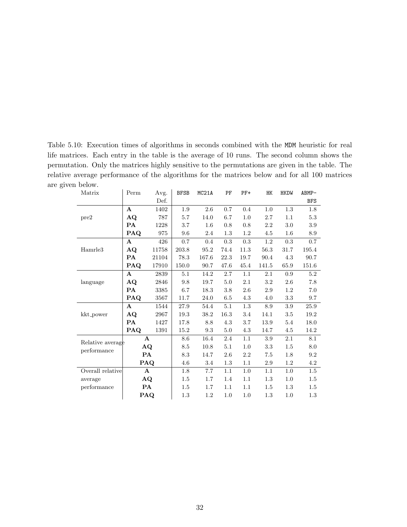Table 5.10: Execution times of algorithms in seconds combined with the MDM heuristic for real life matrices. Each entry in the table is the average of 10 runs. The second column shows the permutation. Only the matrices highly sensitive to the permutations are given in the table. The relative average performance of the algorithms for the matrices below and for all 100 matrices are given below.

| Matrix                          | Perm           | Avg.  | <b>BFSB</b> | MC <sub>21</sub> A | PF   | $PF+$   | HK      | <b>HKDW</b> | ABMP-      |
|---------------------------------|----------------|-------|-------------|--------------------|------|---------|---------|-------------|------------|
|                                 |                | Def.  |             |                    |      |         |         |             | <b>BFS</b> |
| pre2                            | $\mathbf{A}$   | 1402  | 1.9         | 2.6                | 0.7  | 0.4     | 1.0     | 1.3         | 1.8        |
|                                 | $\bf{A}\bf{Q}$ | 787   | 5.7         | 14.0               | 6.7  | 1.0     | 2.7     | 1.1         | 5.3        |
|                                 | <b>PA</b>      | 1228  | 3.7         | 1.6                | 0.8  | 0.8     | 2.2     | 3.0         | 3.9        |
|                                 | PAQ            | 975   | 9.6         | 2.4                | 1.3  | 1.2     | 4.5     | 1.6         | 8.9        |
| Hamrle <sub>3</sub>             | A              | 426   | 0.7         | 0.4                | 0.3  | 0.3     | 1.2     | 0.3         | 0.7        |
|                                 | $\bf{AQ}$      | 11758 | 203.8       | 95.2               | 74.4 | 11.3    | 56.3    | 31.7        | 195.4      |
|                                 | <b>PA</b>      | 21104 | 78.3        | 167.6              | 22.3 | 19.7    | 90.4    | 4.3         | 90.7       |
|                                 | PAQ            | 17910 | 150.0       | 90.7               | 47.6 | 45.4    | 141.5   | 65.9        | 151.6      |
| language                        | $\mathbf{A}$   | 2839  | 5.1         | 14.2               | 2.7  | 1.1     | 2.1     | 0.9         | 5.2        |
|                                 | $\bf{AQ}$      | 2846  | 9.8         | 19.7               | 5.0  | $2.1\,$ | $3.2\,$ | 2.6         | 7.8        |
|                                 | PA             | 3385  | 6.7         | 18.3               | 3.8  | 2.6     | 2.9     | 1.2         | 7.0        |
|                                 | PAQ            | 3567  | 11.7        | 24.0               | 6.5  | 4.3     | 4.0     | $\!3.3\!$   | 9.7        |
| kkt_power                       | A              | 1544  | 27.9        | 54.4               | 5.1  | 1.3     | 8.9     | 3.9         | 25.9       |
|                                 | $\bf{AQ}$      | 2967  | 19.3        | 38.2               | 16.3 | 3.4     | 14.1    | 3.5         | 19.2       |
|                                 | PA             | 1427  | 17.8        | 8.8                | 4.3  | 3.7     | 13.9    | 5.4         | 18.0       |
|                                 | <b>PAQ</b>     | 1391  | 15.2        | 9.3                | 5.0  | 4.3     | 14.7    | 4.5         | 14.2       |
| Relative average<br>performance | $\mathbf{A}$   |       | 8.6         | 16.4               | 2.4  | 1.1     | 3.9     | 2.1         | 8.1        |
|                                 | $\bf{AQ}$      |       | 8.5         | 10.8               | 5.1  | 1.0     | 3.3     | 1.5         | 8.0        |
|                                 | <b>PA</b>      |       | 8.3         | 14.7               | 2.6  | 2.2     | 7.5     | 1.8         | 9.2        |
|                                 | PAQ            |       | 4.6         | 3.4                | 1.3  | 1.1     | 2.9     | 1.2         | 4.2        |
| Overall relative                | $\mathbf{A}$   |       | 1.8         | 7.7                | 1.1  | 1.0     | 1.1     | 1.0         | 1.5        |
| average                         | $\bf{AQ}$      |       | 1.5         | 1.7                | 1.4  | 1.1     | $1.3\,$ | 1.0         | 1.5        |
| performance                     | PA             |       | 1.5         | 1.7                | 1.1  | 1.1     | 1.5     | 1.3         | 1.5        |
|                                 | PAQ            |       | 1.3         | 1.2                | 1.0  | 1.0     | 1.3     | 1.0         | 1.3        |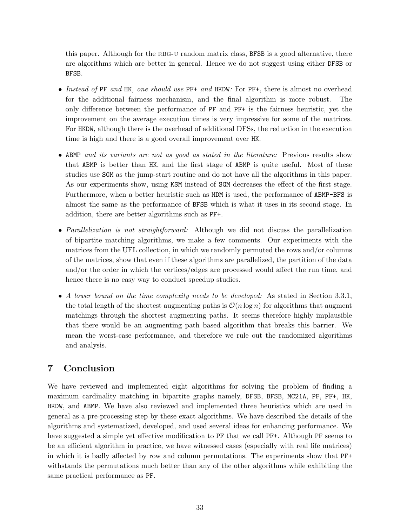this paper. Although for the RBG-U random matrix class, BFSB is a good alternative, there are algorithms which are better in general. Hence we do not suggest using either DFSB or BFSB.

- Instead of PF and HK, one should use PF+ and HKDW: For PF+, there is almost no overhead for the additional fairness mechanism, and the final algorithm is more robust. The only difference between the performance of PF and PF+ is the fairness heuristic, yet the improvement on the average execution times is very impressive for some of the matrices. For HKDW, although there is the overhead of additional DFSs, the reduction in the execution time is high and there is a good overall improvement over HK.
- ABMP and its variants are not as good as stated in the literature: Previous results show that ABMP is better than HK, and the first stage of ABMP is quite useful. Most of these studies use SGM as the jump-start routine and do not have all the algorithms in this paper. As our experiments show, using KSM instead of SGM decreases the effect of the first stage. Furthermore, when a better heuristic such as MDM is used, the performance of ABMP-BFS is almost the same as the performance of BFSB which is what it uses in its second stage. In addition, there are better algorithms such as PF+.
- Parallelization is not straightforward: Although we did not discuss the parallelization of bipartite matching algorithms, we make a few comments. Our experiments with the matrices from the UFL collection, in which we randomly permuted the rows and/or columns of the matrices, show that even if these algorithms are parallelized, the partition of the data and/or the order in which the vertices/edges are processed would affect the run time, and hence there is no easy way to conduct speedup studies.
- A lower bound on the time complexity needs to be developed: As stated in Section 3.3.1, the total length of the shortest augmenting paths is  $\mathcal{O}(n \log n)$  for algorithms that augment matchings through the shortest augmenting paths. It seems therefore highly implausible that there would be an augmenting path based algorithm that breaks this barrier. We mean the worst-case performance, and therefore we rule out the randomized algorithms and analysis.

## 7 Conclusion

We have reviewed and implemented eight algorithms for solving the problem of finding a maximum cardinality matching in bipartite graphs namely, DFSB, BFSB, MC21A, PF, PF+, HK, HKDW, and ABMP. We have also reviewed and implemented three heuristics which are used in general as a pre-processing step by these exact algorithms. We have described the details of the algorithms and systematized, developed, and used several ideas for enhancing performance. We have suggested a simple yet effective modification to PF that we call PF+. Although PF seems to be an efficient algorithm in practice, we have witnessed cases (especially with real life matrices) in which it is badly affected by row and column permutations. The experiments show that PF+ withstands the permutations much better than any of the other algorithms while exhibiting the same practical performance as PF.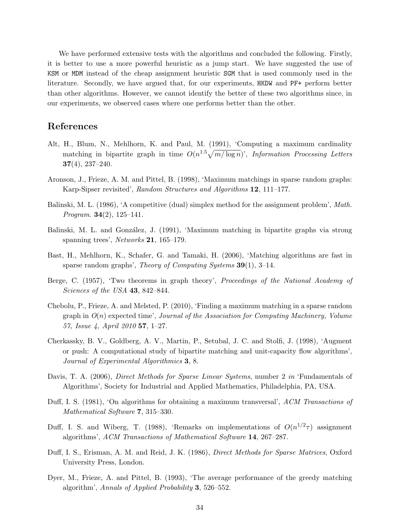We have performed extensive tests with the algorithms and concluded the following. Firstly, it is better to use a more powerful heuristic as a jump start. We have suggested the use of KSM or MDM instead of the cheap assignment heuristic SGM that is used commonly used in the literature. Secondly, we have argued that, for our experiments, HKDW and PF+ perform better than other algorithms. However, we cannot identify the better of these two algorithms since, in our experiments, we observed cases where one performs better than the other.

## References

- Alt, H., Blum, N., Mehlhorn, K. and Paul, M. (1991), 'Computing a maximum cardinality matching in bipartite graph in time  $O(n^{1.5}\sqrt{m/\log n})$ ', Information Processing Letters 37(4), 237–240.
- Aronson, J., Frieze, A. M. and Pittel, B. (1998), 'Maximum matchings in sparse random graphs: Karp-Sipser revisited', Random Structures and Algorithms 12, 111–177.
- Balinski, M. L. (1986), 'A competitive (dual) simplex method for the assignment problem', Math. *Program.* **34**(2), 125–141.
- Balinski, M. L. and González, J. (1991), 'Maximum matching in bipartite graphs via strong spanning trees', Networks 21, 165–179.
- Bast, H., Mehlhorn, K., Schafer, G. and Tamaki, H. (2006), 'Matching algorithms are fast in sparse random graphs', *Theory of Computing Systems*  $39(1)$ , 3–14.
- Berge, C. (1957), 'Two theorems in graph theory', *Proceedings of the National Academy of* Sciences of the USA 43, 842–844.
- Chebolu, P., Frieze, A. and Melsted, P. (2010), 'Finding a maximum matching in a sparse random graph in  $O(n)$  expected time', Journal of the Association for Computing Machinery, Volume 57, Issue 4, April 2010 57, 1–27.
- Cherkassky, B. V., Goldberg, A. V., Martin, P., Setubal, J. C. and Stolfi, J. (1998), 'Augment or push: A computational study of bipartite matching and unit-capacity flow algorithms', Journal of Experimental Algorithmics 3, 8.
- Davis, T. A. (2006), *Direct Methods for Sparse Linear Systems*, number 2 *in* 'Fundamentals of Algorithms', Society for Industrial and Applied Mathematics, Philadelphia, PA, USA.
- Duff, I. S. (1981), 'On algorithms for obtaining a maximum transversal', ACM Transactions of Mathematical Software 7, 315–330.
- Duff, I. S. and Wiberg, T. (1988), 'Remarks on implementations of  $O(n^{1/2}\tau)$  assignment algorithms', ACM Transactions of Mathematical Software 14, 267–287.
- Duff, I. S., Erisman, A. M. and Reid, J. K. (1986), Direct Methods for Sparse Matrices, Oxford University Press, London.
- Dyer, M., Frieze, A. and Pittel, B. (1993), 'The average performance of the greedy matching algorithm', Annals of Applied Probability 3, 526–552.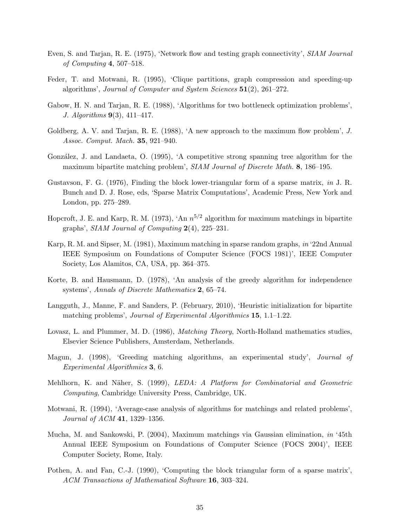- Even, S. and Tarjan, R. E. (1975), 'Network flow and testing graph connectivity', SIAM Journal of Computing 4, 507–518.
- Feder, T. and Motwani, R. (1995), 'Clique partitions, graph compression and speeding-up algorithms', Journal of Computer and System Sciences 51(2), 261–272.
- Gabow, H. N. and Tarjan, R. E. (1988), 'Algorithms for two bottleneck optimization problems', J. Algorithms 9(3), 411–417.
- Goldberg, A. V. and Tarjan, R. E. (1988), 'A new approach to the maximum flow problem', J. Assoc. Comput. Mach. 35, 921–940.
- González, J. and Landaeta, O. (1995), 'A competitive strong spanning tree algorithm for the maximum bipartite matching problem', *SIAM Journal of Discrete Math.* 8, 186–195.
- Gustavson, F. G. (1976), Finding the block lower-triangular form of a sparse matrix, in J. R. Bunch and D. J. Rose, eds, 'Sparse Matrix Computations', Academic Press, New York and London, pp. 275–289.
- Hopcroft, J. E. and Karp, R. M. (1973), 'An  $n^{5/2}$  algorithm for maximum matchings in bipartite graphs', SIAM Journal of Computing 2(4), 225–231.
- Karp, R. M. and Sipser, M. (1981), Maximum matching in sparse random graphs, in '22nd Annual IEEE Symposium on Foundations of Computer Science (FOCS 1981)', IEEE Computer Society, Los Alamitos, CA, USA, pp. 364–375.
- Korte, B. and Hausmann, D. (1978), 'An analysis of the greedy algorithm for independence systems', Annals of Discrete Mathematics 2, 65–74.
- Langguth, J., Manne, F. and Sanders, P. (February, 2010), 'Heuristic initialization for bipartite matching problems', Journal of Experimental Algorithmics 15, 1.1–1.22.
- Lovasz, L. and Plummer, M. D. (1986), *Matching Theory*, North-Holland mathematics studies, Elsevier Science Publishers, Amsterdam, Netherlands.
- Magun, J. (1998), 'Greeding matching algorithms, an experimental study', Journal of Experimental Algorithmics 3, 6.
- Mehlhorn, K. and Näher, S. (1999), LEDA: A Platform for Combinatorial and Geometric Computing, Cambridge University Press, Cambridge, UK.
- Motwani, R. (1994), 'Average-case analysis of algorithms for matchings and related problems', Journal of ACM 41, 1329–1356.
- Mucha, M. and Sankowski, P. (2004), Maximum matchings via Gaussian elimination, in '45th Annual IEEE Symposium on Foundations of Computer Science (FOCS 2004)', IEEE Computer Society, Rome, Italy.
- Pothen, A. and Fan, C.-J. (1990), 'Computing the block triangular form of a sparse matrix', ACM Transactions of Mathematical Software 16, 303–324.